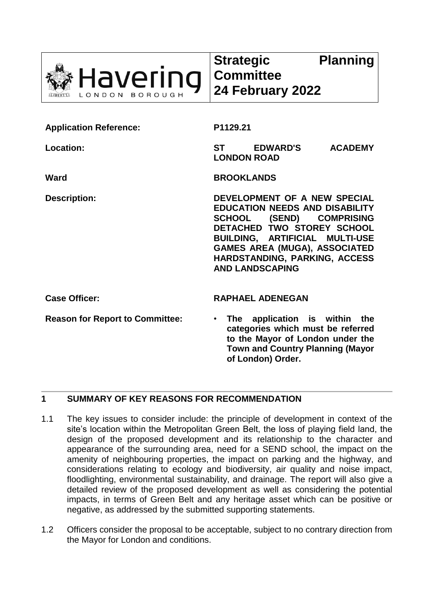

| <b>Application Reference:</b>          | P1129.21                                                                                                                                                                                                                                                                    |  |
|----------------------------------------|-----------------------------------------------------------------------------------------------------------------------------------------------------------------------------------------------------------------------------------------------------------------------------|--|
| Location:                              | <b>EDWARD'S</b><br><b>ST</b><br><b>ACADEMY</b><br><b>LONDON ROAD</b>                                                                                                                                                                                                        |  |
| Ward                                   | <b>BROOKLANDS</b>                                                                                                                                                                                                                                                           |  |
| <b>Description:</b>                    | DEVELOPMENT OF A NEW SPECIAL<br><b>EDUCATION NEEDS AND DISABILITY</b><br>SCHOOL (SEND) COMPRISING<br>DETACHED TWO STOREY SCHOOL<br><b>BUILDING, ARTIFICIAL MULTI-USE</b><br><b>GAMES AREA (MUGA), ASSOCIATED</b><br>HARDSTANDING, PARKING, ACCESS<br><b>AND LANDSCAPING</b> |  |
| <b>Case Officer:</b>                   | <b>RAPHAEL ADENEGAN</b>                                                                                                                                                                                                                                                     |  |
| <b>Reason for Report to Committee:</b> | The application is within the<br>$\bullet$<br>categories which must be referred<br>to the Mayor of London under the<br><b>Town and Country Planning (Mayor</b><br>of London) Order.                                                                                         |  |

# **1 SUMMARY OF KEY REASONS FOR RECOMMENDATION**

- 1.1 The key issues to consider include: the principle of development in context of the site's location within the Metropolitan Green Belt, the loss of playing field land, the design of the proposed development and its relationship to the character and appearance of the surrounding area, need for a SEND school, the impact on the amenity of neighbouring properties, the impact on parking and the highway, and considerations relating to ecology and biodiversity, air quality and noise impact, floodlighting, environmental sustainability, and drainage. The report will also give a detailed review of the proposed development as well as considering the potential impacts, in terms of Green Belt and any heritage asset which can be positive or negative, as addressed by the submitted supporting statements.
- 1.2 Officers consider the proposal to be acceptable, subject to no contrary direction from the Mayor for London and conditions.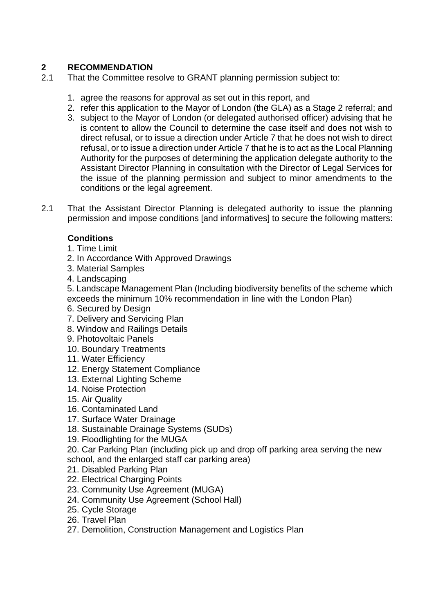# **2 RECOMMENDATION**

- 2.1 That the Committee resolve to GRANT planning permission subject to:
	- 1. agree the reasons for approval as set out in this report, and
	- 2. refer this application to the Mayor of London (the GLA) as a Stage 2 referral; and
	- 3. subject to the Mayor of London (or delegated authorised officer) advising that he is content to allow the Council to determine the case itself and does not wish to direct refusal, or to issue a direction under Article 7 that he does not wish to direct refusal, or to issue a direction under Article 7 that he is to act as the Local Planning Authority for the purposes of determining the application delegate authority to the Assistant Director Planning in consultation with the Director of Legal Services for the issue of the planning permission and subject to minor amendments to the conditions or the legal agreement.
- 2.1 That the Assistant Director Planning is delegated authority to issue the planning permission and impose conditions [and informatives] to secure the following matters:

# **Conditions**

- 1. Time Limit
- 2. In Accordance With Approved Drawings
- 3. Material Samples
- 4. Landscaping

5. Landscape Management Plan (Including biodiversity benefits of the scheme which exceeds the minimum 10% recommendation in line with the London Plan)

- 6. Secured by Design
- 7. Delivery and Servicing Plan
- 8. Window and Railings Details
- 9. Photovoltaic Panels
- 10. Boundary Treatments
- 11. Water Efficiency
- 12. Energy Statement Compliance
- 13. External Lighting Scheme
- 14. Noise Protection
- 15. Air Quality
- 16. Contaminated Land
- 17. Surface Water Drainage
- 18. Sustainable Drainage Systems (SUDs)
- 19. Floodlighting for the MUGA
- 20. Car Parking Plan (including pick up and drop off parking area serving the new school, and the enlarged staff car parking area)
- 21. Disabled Parking Plan
- 22. Electrical Charging Points
- 23. Community Use Agreement (MUGA)
- 24. Community Use Agreement (School Hall)
- 25. Cycle Storage
- 26. Travel Plan
- 27. Demolition, Construction Management and Logistics Plan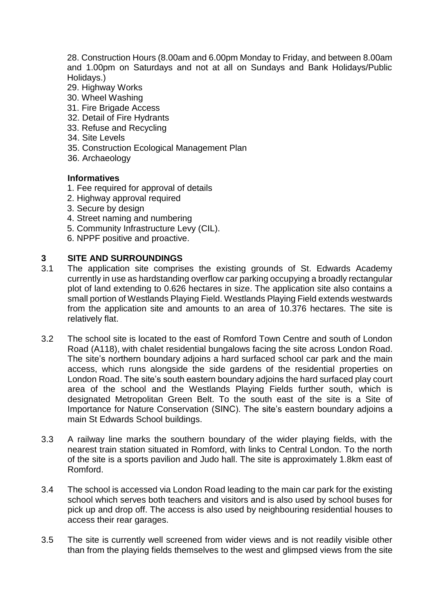28. Construction Hours (8.00am and 6.00pm Monday to Friday, and between 8.00am and 1.00pm on Saturdays and not at all on Sundays and Bank Holidays/Public Holidays.)

- 29. Highway Works
- 30. Wheel Washing
- 31. Fire Brigade Access
- 32. Detail of Fire Hydrants
- 33. Refuse and Recycling
- 34. Site Levels
- 35. Construction Ecological Management Plan
- 36. Archaeology

#### **Informatives**

- 1. Fee required for approval of details
- 2. Highway approval required
- 3. Secure by design
- 4. Street naming and numbering
- 5. Community Infrastructure Levy (CIL).
- 6. NPPF positive and proactive.

#### **3 SITE AND SURROUNDINGS**

- 3.1 The application site comprises the existing grounds of St. Edwards Academy currently in use as hardstanding overflow car parking occupying a broadly rectangular plot of land extending to 0.626 hectares in size. The application site also contains a small portion of Westlands Playing Field. Westlands Playing Field extends westwards from the application site and amounts to an area of 10.376 hectares. The site is relatively flat.
- 3.2 The school site is located to the east of Romford Town Centre and south of London Road (A118), with chalet residential bungalows facing the site across London Road. The site's northern boundary adjoins a hard surfaced school car park and the main access, which runs alongside the side gardens of the residential properties on London Road. The site's south eastern boundary adjoins the hard surfaced play court area of the school and the Westlands Playing Fields further south, which is designated Metropolitan Green Belt. To the south east of the site is a Site of Importance for Nature Conservation (SINC). The site's eastern boundary adjoins a main St Edwards School buildings.
- 3.3 A railway line marks the southern boundary of the wider playing fields, with the nearest train station situated in Romford, with links to Central London. To the north of the site is a sports pavilion and Judo hall. The site is approximately 1.8km east of Romford.
- 3.4 The school is accessed via London Road leading to the main car park for the existing school which serves both teachers and visitors and is also used by school buses for pick up and drop off. The access is also used by neighbouring residential houses to access their rear garages.
- 3.5 The site is currently well screened from wider views and is not readily visible other than from the playing fields themselves to the west and glimpsed views from the site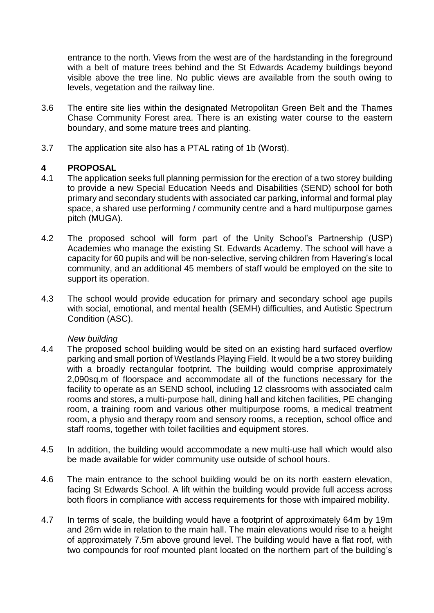entrance to the north. Views from the west are of the hardstanding in the foreground with a belt of mature trees behind and the St Edwards Academy buildings beyond visible above the tree line. No public views are available from the south owing to levels, vegetation and the railway line.

- 3.6 The entire site lies within the designated Metropolitan Green Belt and the Thames Chase Community Forest area. There is an existing water course to the eastern boundary, and some mature trees and planting.
- 3.7 The application site also has a PTAL rating of 1b (Worst).

# **4 PROPOSAL**

- 4.1 The application seeks full planning permission for the erection of a two storey building to provide a new Special Education Needs and Disabilities (SEND) school for both primary and secondary students with associated car parking, informal and formal play space, a shared use performing / community centre and a hard multipurpose games pitch (MUGA).
- 4.2 The proposed school will form part of the Unity School's Partnership (USP) Academies who manage the existing St. Edwards Academy. The school will have a capacity for 60 pupils and will be non-selective, serving children from Havering's local community, and an additional 45 members of staff would be employed on the site to support its operation.
- 4.3 The school would provide education for primary and secondary school age pupils with social, emotional, and mental health (SEMH) difficulties, and Autistic Spectrum Condition (ASC).

# *New building*

- 4.4 The proposed school building would be sited on an existing hard surfaced overflow parking and small portion of Westlands Playing Field. It would be a two storey building with a broadly rectangular footprint. The building would comprise approximately 2,090sq.m of floorspace and accommodate all of the functions necessary for the facility to operate as an SEND school, including 12 classrooms with associated calm rooms and stores, a multi-purpose hall, dining hall and kitchen facilities, PE changing room, a training room and various other multipurpose rooms, a medical treatment room, a physio and therapy room and sensory rooms, a reception, school office and staff rooms, together with toilet facilities and equipment stores.
- 4.5 In addition, the building would accommodate a new multi-use hall which would also be made available for wider community use outside of school hours.
- 4.6 The main entrance to the school building would be on its north eastern elevation, facing St Edwards School. A lift within the building would provide full access across both floors in compliance with access requirements for those with impaired mobility.
- 4.7 In terms of scale, the building would have a footprint of approximately 64m by 19m and 26m wide in relation to the main hall. The main elevations would rise to a height of approximately 7.5m above ground level. The building would have a flat roof, with two compounds for roof mounted plant located on the northern part of the building's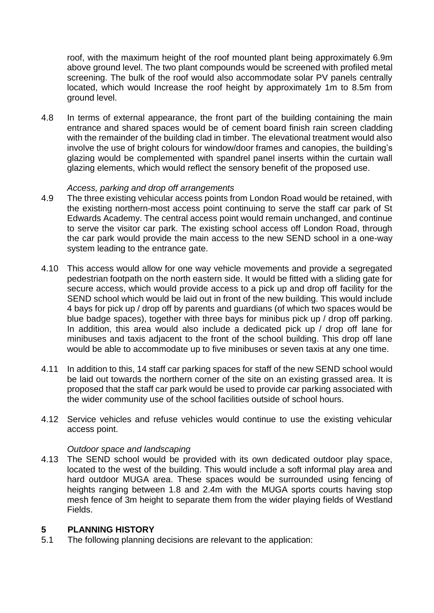roof, with the maximum height of the roof mounted plant being approximately 6.9m above ground level. The two plant compounds would be screened with profiled metal screening. The bulk of the roof would also accommodate solar PV panels centrally located, which would Increase the roof height by approximately 1m to 8.5m from ground level.

4.8 In terms of external appearance, the front part of the building containing the main entrance and shared spaces would be of cement board finish rain screen cladding with the remainder of the building clad in timber. The elevational treatment would also involve the use of bright colours for window/door frames and canopies, the building's glazing would be complemented with spandrel panel inserts within the curtain wall glazing elements, which would reflect the sensory benefit of the proposed use.

#### *Access, parking and drop off arrangements*

- 4.9 The three existing vehicular access points from London Road would be retained, with the existing northern-most access point continuing to serve the staff car park of St Edwards Academy. The central access point would remain unchanged, and continue to serve the visitor car park. The existing school access off London Road, through the car park would provide the main access to the new SEND school in a one-way system leading to the entrance gate.
- 4.10 This access would allow for one way vehicle movements and provide a segregated pedestrian footpath on the north eastern side. It would be fitted with a sliding gate for secure access, which would provide access to a pick up and drop off facility for the SEND school which would be laid out in front of the new building. This would include 4 bays for pick up / drop off by parents and guardians (of which two spaces would be blue badge spaces), together with three bays for minibus pick up / drop off parking. In addition, this area would also include a dedicated pick up / drop off lane for minibuses and taxis adjacent to the front of the school building. This drop off lane would be able to accommodate up to five minibuses or seven taxis at any one time.
- 4.11 In addition to this, 14 staff car parking spaces for staff of the new SEND school would be laid out towards the northern corner of the site on an existing grassed area. It is proposed that the staff car park would be used to provide car parking associated with the wider community use of the school facilities outside of school hours.
- 4.12 Service vehicles and refuse vehicles would continue to use the existing vehicular access point.

## *Outdoor space and landscaping*

4.13 The SEND school would be provided with its own dedicated outdoor play space, located to the west of the building. This would include a soft informal play area and hard outdoor MUGA area. These spaces would be surrounded using fencing of heights ranging between 1.8 and 2.4m with the MUGA sports courts having stop mesh fence of 3m height to separate them from the wider playing fields of Westland Fields.

# **5 PLANNING HISTORY**

5.1 The following planning decisions are relevant to the application: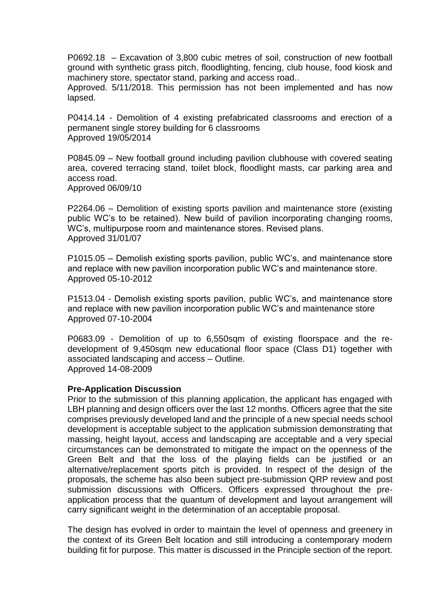P0692.18 – Excavation of 3,800 cubic metres of soil, construction of new football ground with synthetic grass pitch, floodlighting, fencing, club house, food kiosk and machinery store, spectator stand, parking and access road..

Approved. 5/11/2018. This permission has not been implemented and has now lapsed.

P0414.14 - Demolition of 4 existing prefabricated classrooms and erection of a permanent single storey building for 6 classrooms Approved 19/05/2014

P0845.09 – New football ground including pavilion clubhouse with covered seating area, covered terracing stand, toilet block, floodlight masts, car parking area and access road. Approved 06/09/10

P2264.06 – Demolition of existing sports pavilion and maintenance store (existing public WC's to be retained). New build of pavilion incorporating changing rooms, WC's, multipurpose room and maintenance stores. Revised plans. Approved 31/01/07

P1015.05 – Demolish existing sports pavilion, public WC's, and maintenance store and replace with new pavilion incorporation public WC's and maintenance store. Approved 05-10-2012

P1513.04 - Demolish existing sports pavilion, public WC's, and maintenance store and replace with new pavilion incorporation public WC's and maintenance store Approved 07-10-2004

P0683.09 - Demolition of up to 6,550sqm of existing floorspace and the redevelopment of 9,450sqm new educational floor space (Class D1) together with associated landscaping and access – Outline. Approved 14-08-2009

#### **Pre-Application Discussion**

Prior to the submission of this planning application, the applicant has engaged with LBH planning and design officers over the last 12 months. Officers agree that the site comprises previously developed land and the principle of a new special needs school development is acceptable subject to the application submission demonstrating that massing, height layout, access and landscaping are acceptable and a very special circumstances can be demonstrated to mitigate the impact on the openness of the Green Belt and that the loss of the playing fields can be justified or an alternative/replacement sports pitch is provided. In respect of the design of the proposals, the scheme has also been subject pre-submission QRP review and post submission discussions with Officers. Officers expressed throughout the preapplication process that the quantum of development and layout arrangement will carry significant weight in the determination of an acceptable proposal.

The design has evolved in order to maintain the level of openness and greenery in the context of its Green Belt location and still introducing a contemporary modern building fit for purpose. This matter is discussed in the Principle section of the report.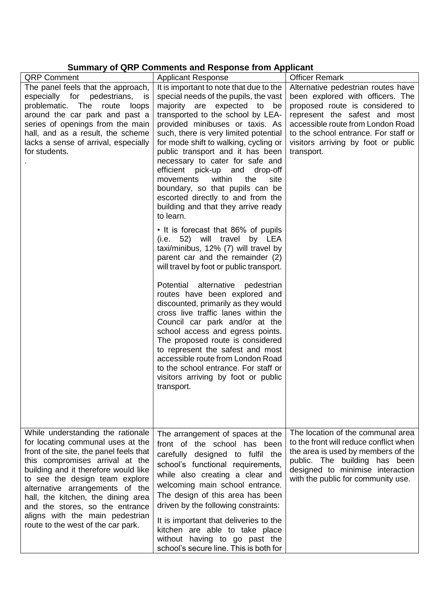# **Summary of QRP Comments and Response from Applicant**

|                                                                                                                                                                                                                                                                                                                                                                                                                     | Summary of QKF Comments and Response from Applicant                                                                                                                                                                                                                                                                                                                                                                                                |                                                                                                                                                                                                                              |
|---------------------------------------------------------------------------------------------------------------------------------------------------------------------------------------------------------------------------------------------------------------------------------------------------------------------------------------------------------------------------------------------------------------------|----------------------------------------------------------------------------------------------------------------------------------------------------------------------------------------------------------------------------------------------------------------------------------------------------------------------------------------------------------------------------------------------------------------------------------------------------|------------------------------------------------------------------------------------------------------------------------------------------------------------------------------------------------------------------------------|
| <b>QRP Comment</b>                                                                                                                                                                                                                                                                                                                                                                                                  | <b>Applicant Response</b>                                                                                                                                                                                                                                                                                                                                                                                                                          | <b>Officer Remark</b>                                                                                                                                                                                                        |
| The panel feels that the approach,                                                                                                                                                                                                                                                                                                                                                                                  | It is important to note that due to the                                                                                                                                                                                                                                                                                                                                                                                                            | Alternative pedestrian routes have                                                                                                                                                                                           |
| especially for pedestrians,<br>is                                                                                                                                                                                                                                                                                                                                                                                   | special needs of the pupils, the vast                                                                                                                                                                                                                                                                                                                                                                                                              | been explored with officers. The                                                                                                                                                                                             |
| problematic. The<br>route<br>loops                                                                                                                                                                                                                                                                                                                                                                                  | majority are expected to<br>be                                                                                                                                                                                                                                                                                                                                                                                                                     | proposed route is considered to                                                                                                                                                                                              |
| around the car park and past a                                                                                                                                                                                                                                                                                                                                                                                      | transported to the school by LEA-                                                                                                                                                                                                                                                                                                                                                                                                                  | represent the safest and most                                                                                                                                                                                                |
| series of openings from the main                                                                                                                                                                                                                                                                                                                                                                                    | provided minibuses or taxis. As                                                                                                                                                                                                                                                                                                                                                                                                                    | accessible route from London Road                                                                                                                                                                                            |
| hall, and as a result, the scheme                                                                                                                                                                                                                                                                                                                                                                                   | such, there is very limited potential                                                                                                                                                                                                                                                                                                                                                                                                              | to the school entrance. For staff or                                                                                                                                                                                         |
| lacks a sense of arrival, especially<br>for students.                                                                                                                                                                                                                                                                                                                                                               | for mode shift to walking, cycling or<br>public transport and it has been<br>necessary to cater for safe and<br>efficient pick-up and<br>drop-off                                                                                                                                                                                                                                                                                                  | visitors arriving by foot or public<br>transport.                                                                                                                                                                            |
|                                                                                                                                                                                                                                                                                                                                                                                                                     | within<br>movements<br>the<br>site<br>boundary, so that pupils can be<br>escorted directly to and from the<br>building and that they arrive ready<br>to learn.                                                                                                                                                                                                                                                                                     |                                                                                                                                                                                                                              |
|                                                                                                                                                                                                                                                                                                                                                                                                                     | • It is forecast that 86% of pupils<br>(i.e. 52) will travel by LEA<br>taxi/minibus, 12% (7) will travel by<br>parent car and the remainder (2)<br>will travel by foot or public transport.                                                                                                                                                                                                                                                        |                                                                                                                                                                                                                              |
|                                                                                                                                                                                                                                                                                                                                                                                                                     | Potential alternative pedestrian<br>routes have been explored and<br>discounted, primarily as they would<br>cross live traffic lanes within the<br>Council car park and/or at the<br>school access and egress points.<br>The proposed route is considered<br>to represent the safest and most<br>accessible route from London Road<br>to the school entrance. For staff or<br>visitors arriving by foot or public<br>transport.                    |                                                                                                                                                                                                                              |
| While understanding the rationale<br>for locating communal uses at the<br>front of the site, the panel feels that<br>this compromises arrival at the<br>building and it therefore would like<br>to see the design team explore<br>alternative arrangements of the<br>hall, the kitchen, the dining area<br>and the stores, so the entrance<br>aligns with the main pedestrian<br>route to the west of the car park. | The arrangement of spaces at the<br>front of the school has been<br>carefully designed to fulfil the<br>school's functional requirements,<br>while also creating a clear and<br>welcoming main school entrance.<br>The design of this area has been<br>driven by the following constraints:<br>It is important that deliveries to the<br>kitchen are able to take place<br>without having to go past the<br>school's secure line. This is both for | The location of the communal area<br>to the front will reduce conflict when<br>the area is used by members of the<br>public. The building has been<br>designed to minimise interaction<br>with the public for community use. |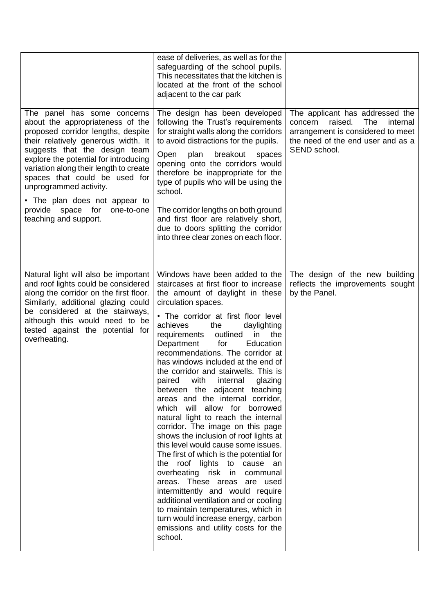|                                                                                                                                                                                                                                                                                                                                                                                                                          | ease of deliveries, as well as for the<br>safeguarding of the school pupils.<br>This necessitates that the kitchen is<br>located at the front of the school<br>adjacent to the car park                                                                                                                                                                                                                                                                                                                                                                                                                                                                                                                                                                                                                                                                                                                                                                                                                                                                               |                                                                                                                                                                           |
|--------------------------------------------------------------------------------------------------------------------------------------------------------------------------------------------------------------------------------------------------------------------------------------------------------------------------------------------------------------------------------------------------------------------------|-----------------------------------------------------------------------------------------------------------------------------------------------------------------------------------------------------------------------------------------------------------------------------------------------------------------------------------------------------------------------------------------------------------------------------------------------------------------------------------------------------------------------------------------------------------------------------------------------------------------------------------------------------------------------------------------------------------------------------------------------------------------------------------------------------------------------------------------------------------------------------------------------------------------------------------------------------------------------------------------------------------------------------------------------------------------------|---------------------------------------------------------------------------------------------------------------------------------------------------------------------------|
| The panel has some concerns<br>about the appropriateness of the<br>proposed corridor lengths, despite<br>their relatively generous width. It<br>suggests that the design team<br>explore the potential for introducing<br>variation along their length to create<br>spaces that could be used for<br>unprogrammed activity.<br>• The plan does not appear to<br>provide space for<br>one-to-one<br>teaching and support. | The design has been developed<br>following the Trust's requirements<br>for straight walls along the corridors<br>to avoid distractions for the pupils.<br>plan<br>breakout<br>Open<br>spaces<br>opening onto the corridors would<br>therefore be inappropriate for the<br>type of pupils who will be using the<br>school.<br>The corridor lengths on both ground<br>and first floor are relatively short,<br>due to doors splitting the corridor<br>into three clear zones on each floor.                                                                                                                                                                                                                                                                                                                                                                                                                                                                                                                                                                             | The applicant has addressed the<br><b>The</b><br>raised.<br>internal<br>concern<br>arrangement is considered to meet<br>the need of the end user and as a<br>SEND school. |
| Natural light will also be important<br>and roof lights could be considered<br>along the corridor on the first floor.<br>Similarly, additional glazing could<br>be considered at the stairways,<br>although this would need to be<br>tested against the potential for<br>overheating.                                                                                                                                    | Windows have been added to the<br>staircases at first floor to increase<br>the amount of daylight in these<br>circulation spaces.<br>• The corridor at first floor level<br>achieves<br>the<br>daylighting<br>outlined<br>requirements<br>in<br>the<br>Department<br>for<br>Education<br>recommendations. The corridor at<br>has windows included at the end of<br>the corridor and stairwells. This is<br>with<br>internal<br>glazing<br>paired<br>between the adjacent teaching<br>areas and the internal corridor,<br>which will allow for borrowed<br>natural light to reach the internal<br>corridor. The image on this page<br>shows the inclusion of roof lights at<br>this level would cause some issues.<br>The first of which is the potential for<br>the roof lights to cause an<br>overheating risk in communal<br>areas. These areas are used<br>intermittently and would require<br>additional ventilation and or cooling<br>to maintain temperatures, which in<br>turn would increase energy, carbon<br>emissions and utility costs for the<br>school. | The design of the new building<br>reflects the improvements sought<br>by the Panel.                                                                                       |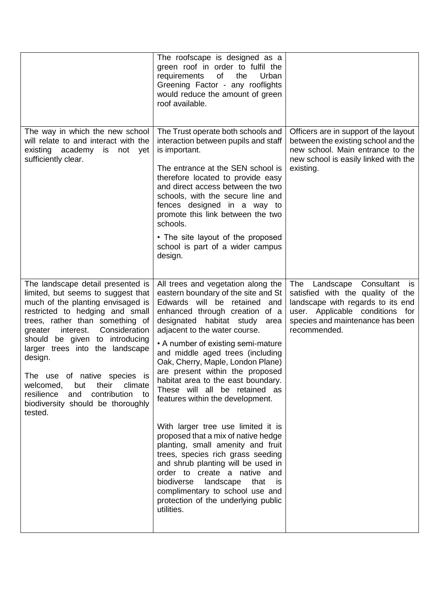|                                                                                                                                                                                                                                                                                                                                                                                                                                                                 | The roofscape is designed as a<br>green roof in order to fulfil the<br>of<br>requirements<br>the<br>Urban<br>Greening Factor - any rooflights<br>would reduce the amount of green<br>roof available.                                                                                                                                                                                                                                                                                                                                                                                                                                                                                                                                                                                                                                        |                                                                                                                                                                                                    |
|-----------------------------------------------------------------------------------------------------------------------------------------------------------------------------------------------------------------------------------------------------------------------------------------------------------------------------------------------------------------------------------------------------------------------------------------------------------------|---------------------------------------------------------------------------------------------------------------------------------------------------------------------------------------------------------------------------------------------------------------------------------------------------------------------------------------------------------------------------------------------------------------------------------------------------------------------------------------------------------------------------------------------------------------------------------------------------------------------------------------------------------------------------------------------------------------------------------------------------------------------------------------------------------------------------------------------|----------------------------------------------------------------------------------------------------------------------------------------------------------------------------------------------------|
| The way in which the new school<br>will relate to and interact with the<br>existing academy is not yet<br>sufficiently clear.                                                                                                                                                                                                                                                                                                                                   | The Trust operate both schools and<br>interaction between pupils and staff<br>is important.<br>The entrance at the SEN school is<br>therefore located to provide easy<br>and direct access between the two<br>schools, with the secure line and<br>fences designed in a way to<br>promote this link between the two<br>schools.<br>• The site layout of the proposed<br>school is part of a wider campus<br>design.                                                                                                                                                                                                                                                                                                                                                                                                                         | Officers are in support of the layout<br>between the existing school and the<br>new school. Main entrance to the<br>new school is easily linked with the<br>existing.                              |
| The landscape detail presented is<br>limited, but seems to suggest that<br>much of the planting envisaged is<br>restricted to hedging and small<br>trees, rather than something of<br>Consideration<br>interest.<br>greater<br>should be given to introducing<br>larger trees into the landscape<br>design.<br>The use of native species is<br>welcomed, but their<br>climate<br>resilience and contribution to<br>biodiversity should be thoroughly<br>tested. | All trees and vegetation along the<br>eastern boundary of the site and St<br>Edwards will be retained<br>and<br>enhanced through creation of a<br>designated habitat study<br>area<br>adjacent to the water course.<br>• A number of existing semi-mature<br>and middle aged trees (including<br>Oak, Cherry, Maple, London Plane)<br>are present within the proposed<br>habitat area to the east boundary.<br>These will all be retained as<br>features within the development.<br>With larger tree use limited it is<br>proposed that a mix of native hedge<br>planting, small amenity and fruit<br>trees, species rich grass seeding<br>and shrub planting will be used in<br>order to create a native and<br>biodiverse landscape that<br>is is<br>complimentary to school use and<br>protection of the underlying public<br>utilities. | The Landscape<br>Consultant<br>is<br>satisfied with the quality of the<br>landscape with regards to its end<br>user. Applicable conditions for<br>species and maintenance has been<br>recommended. |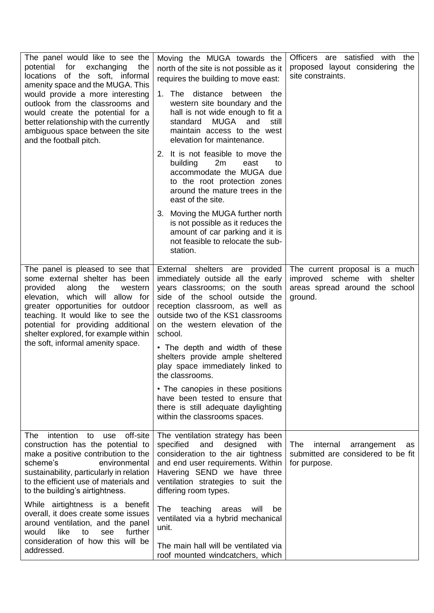| The panel would like to see the<br>potential for exchanging<br>the<br>locations of the soft, informal<br>amenity space and the MUGA. This<br>would provide a more interesting<br>outlook from the classrooms and<br>would create the potential for a<br>better relationship with the currently<br>ambiguous space between the site<br>and the football pitch. | Moving the MUGA towards the<br>north of the site is not possible as it<br>requires the building to move east:<br>1. The<br>distance between the<br>western site boundary and the<br>hall is not wide enough to fit a<br><b>MUGA</b><br>standard<br>and<br>still<br>maintain access to the west<br>elevation for maintenance.                                                               | Officers are satisfied with<br>the<br>proposed layout considering the<br>site constraints.                  |
|---------------------------------------------------------------------------------------------------------------------------------------------------------------------------------------------------------------------------------------------------------------------------------------------------------------------------------------------------------------|--------------------------------------------------------------------------------------------------------------------------------------------------------------------------------------------------------------------------------------------------------------------------------------------------------------------------------------------------------------------------------------------|-------------------------------------------------------------------------------------------------------------|
|                                                                                                                                                                                                                                                                                                                                                               | 2. It is not feasible to move the<br>2m<br>building<br>east<br>to<br>accommodate the MUGA due<br>to the root protection zones<br>around the mature trees in the<br>east of the site.                                                                                                                                                                                                       |                                                                                                             |
|                                                                                                                                                                                                                                                                                                                                                               | 3. Moving the MUGA further north<br>is not possible as it reduces the<br>amount of car parking and it is<br>not feasible to relocate the sub-<br>station.                                                                                                                                                                                                                                  |                                                                                                             |
| The panel is pleased to see that<br>some external shelter has been<br>provided<br>along<br>the<br>western<br>elevation, which will allow for<br>greater opportunities for outdoor<br>teaching. It would like to see the<br>potential for providing additional<br>shelter explored, for example within<br>the soft, informal amenity space.                    | External shelters are provided<br>immediately outside all the early<br>years classrooms; on the south<br>side of the school outside the<br>reception classroom, as well as<br>outside two of the KS1 classrooms<br>on the western elevation of the<br>school.<br>• The depth and width of these<br>shelters provide ample sheltered<br>play space immediately linked to<br>the classrooms. | The current proposal is a much<br>improved scheme with shelter<br>areas spread around the school<br>ground. |
|                                                                                                                                                                                                                                                                                                                                                               | • The canopies in these positions<br>have been tested to ensure that<br>there is still adequate daylighting<br>within the classrooms spaces.                                                                                                                                                                                                                                               |                                                                                                             |
| intention<br>off-site<br>The<br>to<br>use<br>construction has the potential to<br>make a positive contribution to the<br>scheme's<br>environmental<br>sustainability, particularly in relation<br>to the efficient use of materials and<br>to the building's airtightness.                                                                                    | The ventilation strategy has been<br>specified<br>and<br>designed<br>with<br>consideration to the air tightness<br>and end user requirements. Within<br>Havering SEND we have three<br>ventilation strategies to suit the<br>differing room types.                                                                                                                                         | The<br>internal<br>arrangement<br>as<br>submitted are considered to be fit<br>for purpose.                  |
| While airtightness is a benefit<br>overall, it does create some issues<br>around ventilation, and the panel<br>would<br>like<br>further<br>to<br>see<br>consideration of how this will be<br>addressed.                                                                                                                                                       | teaching<br>will<br>The<br>areas<br>be<br>ventilated via a hybrid mechanical<br>unit.<br>The main hall will be ventilated via                                                                                                                                                                                                                                                              |                                                                                                             |
|                                                                                                                                                                                                                                                                                                                                                               | roof mounted windcatchers, which                                                                                                                                                                                                                                                                                                                                                           |                                                                                                             |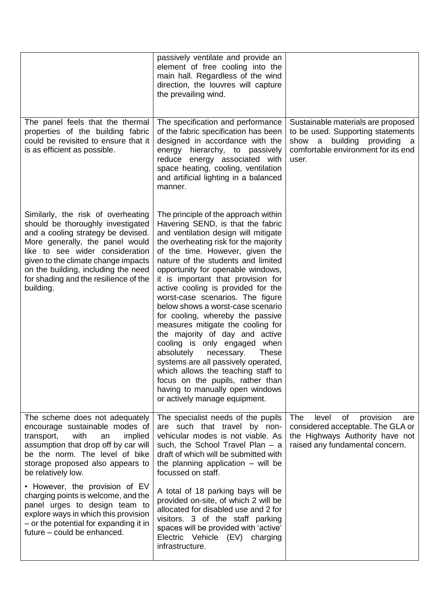|                                                                                                                                                                                                                                                                                                                         | passively ventilate and provide an<br>element of free cooling into the<br>main hall. Regardless of the wind<br>direction, the louvres will capture<br>the prevailing wind.                                                                                                                                                                                                                                                                                                                                                                                                                                                                                                                                                                                                                                   |                                                                                                                                                        |
|-------------------------------------------------------------------------------------------------------------------------------------------------------------------------------------------------------------------------------------------------------------------------------------------------------------------------|--------------------------------------------------------------------------------------------------------------------------------------------------------------------------------------------------------------------------------------------------------------------------------------------------------------------------------------------------------------------------------------------------------------------------------------------------------------------------------------------------------------------------------------------------------------------------------------------------------------------------------------------------------------------------------------------------------------------------------------------------------------------------------------------------------------|--------------------------------------------------------------------------------------------------------------------------------------------------------|
| The panel feels that the thermal<br>properties of the building fabric<br>could be revisited to ensure that it<br>is as efficient as possible.                                                                                                                                                                           | The specification and performance<br>of the fabric specification has been<br>designed in accordance with the<br>energy hierarchy, to passively<br>reduce energy associated with<br>space heating, cooling, ventilation<br>and artificial lighting in a balanced<br>manner.                                                                                                                                                                                                                                                                                                                                                                                                                                                                                                                                   | Sustainable materials are proposed<br>to be used. Supporting statements<br>show a building providing a<br>comfortable environment for its end<br>user. |
| Similarly, the risk of overheating<br>should be thoroughly investigated<br>and a cooling strategy be devised.<br>More generally, the panel would<br>like to see wider consideration<br>given to the climate change impacts<br>on the building, including the need<br>for shading and the resilience of the<br>building. | The principle of the approach within<br>Havering SEND, is that the fabric<br>and ventilation design will mitigate<br>the overheating risk for the majority<br>of the time. However, given the<br>nature of the students and limited<br>opportunity for openable windows,<br>it is important that provision for<br>active cooling is provided for the<br>worst-case scenarios. The figure<br>below shows a worst-case scenario<br>for cooling, whereby the passive<br>measures mitigate the cooling for<br>the majority of day and active<br>cooling is only engaged<br>when<br>absolutely<br>necessary.<br><b>These</b><br>systems are all passively operated,<br>which allows the teaching staff to<br>focus on the pupils, rather than<br>having to manually open windows<br>or actively manage equipment. |                                                                                                                                                        |
| The scheme does not adequately<br>encourage sustainable modes of<br>transport,<br>with<br>implied<br>an<br>assumption that drop off by car will<br>be the norm. The level of bike<br>storage proposed also appears to<br>be relatively low.                                                                             | The specialist needs of the pupils<br>are such that travel by non-<br>vehicular modes is not viable. As<br>such, the School Travel Plan $-$ a<br>draft of which will be submitted with<br>the planning application $-$ will be<br>focussed on staff.                                                                                                                                                                                                                                                                                                                                                                                                                                                                                                                                                         | of<br>The<br>level<br>provision<br>are<br>considered acceptable. The GLA or<br>the Highways Authority have not<br>raised any fundamental concern.      |
| • However, the provision of EV<br>charging points is welcome, and the<br>panel urges to design team to<br>explore ways in which this provision<br>- or the potential for expanding it in<br>future - could be enhanced.                                                                                                 | A total of 18 parking bays will be<br>provided on-site, of which 2 will be<br>allocated for disabled use and 2 for<br>visitors. 3 of the staff parking<br>spaces will be provided with 'active'<br>Electric Vehicle (EV)<br>charging<br>infrastructure.                                                                                                                                                                                                                                                                                                                                                                                                                                                                                                                                                      |                                                                                                                                                        |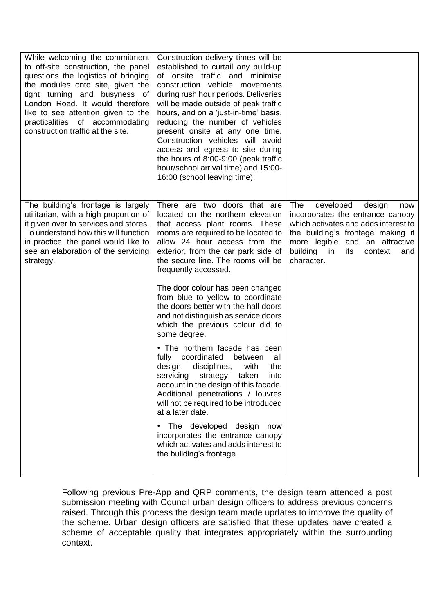| While welcoming the commitment<br>to off-site construction, the panel<br>questions the logistics of bringing<br>the modules onto site, given the<br>tight turning and busyness of<br>London Road. It would therefore<br>like to see attention given to the<br>practicalities of accommodating<br>construction traffic at the site. | Construction delivery times will be<br>established to curtail any build-up<br>of onsite traffic and minimise<br>construction vehicle movements<br>during rush hour periods. Deliveries<br>will be made outside of peak traffic<br>hours, and on a 'just-in-time' basis,<br>reducing the number of vehicles<br>present onsite at any one time.<br>Construction vehicles will avoid<br>access and egress to site during<br>the hours of 8:00-9:00 (peak traffic<br>hour/school arrival time) and 15:00-<br>16:00 (school leaving time). |                                                                                                                                                                                                                                               |
|------------------------------------------------------------------------------------------------------------------------------------------------------------------------------------------------------------------------------------------------------------------------------------------------------------------------------------|---------------------------------------------------------------------------------------------------------------------------------------------------------------------------------------------------------------------------------------------------------------------------------------------------------------------------------------------------------------------------------------------------------------------------------------------------------------------------------------------------------------------------------------|-----------------------------------------------------------------------------------------------------------------------------------------------------------------------------------------------------------------------------------------------|
| The building's frontage is largely<br>utilitarian, with a high proportion of<br>it given over to services and stores.<br>To understand how this will function<br>in practice, the panel would like to<br>see an elaboration of the servicing<br>strategy.                                                                          | There are two doors that are<br>located on the northern elevation<br>that access plant rooms. These<br>rooms are required to be located to<br>allow 24 hour access from the<br>exterior, from the car park side of<br>the secure line. The rooms will be<br>frequently accessed.<br>The door colour has been changed<br>from blue to yellow to coordinate<br>the doors better with the hall doors<br>and not distinguish as service doors<br>which the previous colour did to<br>some degree.                                         | developed<br>The<br>design<br>now<br>incorporates the entrance canopy<br>which activates and adds interest to<br>the building's frontage making it<br>more legible and an attractive<br>building<br>in<br>its<br>context<br>and<br>character. |
|                                                                                                                                                                                                                                                                                                                                    | • The northern facade has been<br>coordinated<br>fully<br>between<br>all<br>disciplines,<br>with<br>design<br>the<br>servicing strategy taken<br>into<br>account in the design of this facade.<br>Additional penetrations / louvres<br>will not be required to be introduced<br>at a later date.<br>The developed design<br>now<br>incorporates the entrance canopy<br>which activates and adds interest to<br>the building's frontage.                                                                                               |                                                                                                                                                                                                                                               |

Following previous Pre-App and QRP comments, the design team attended a post submission meeting with Council urban design officers to address previous concerns raised. Through this process the design team made updates to improve the quality of the scheme. Urban design officers are satisfied that these updates have created a scheme of acceptable quality that integrates appropriately within the surrounding context.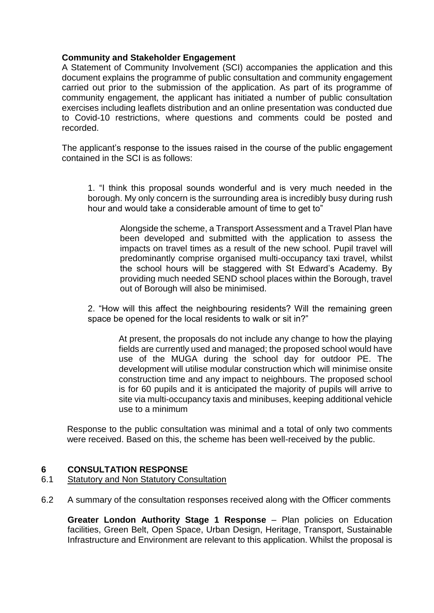# **Community and Stakeholder Engagement**

A Statement of Community Involvement (SCI) accompanies the application and this document explains the programme of public consultation and community engagement carried out prior to the submission of the application. As part of its programme of community engagement, the applicant has initiated a number of public consultation exercises including leaflets distribution and an online presentation was conducted due to Covid-10 restrictions, where questions and comments could be posted and recorded.

The applicant's response to the issues raised in the course of the public engagement contained in the SCI is as follows:

1. "I think this proposal sounds wonderful and is very much needed in the borough. My only concern is the surrounding area is incredibly busy during rush hour and would take a considerable amount of time to get to"

> Alongside the scheme, a Transport Assessment and a Travel Plan have been developed and submitted with the application to assess the impacts on travel times as a result of the new school. Pupil travel will predominantly comprise organised multi-occupancy taxi travel, whilst the school hours will be staggered with St Edward's Academy. By providing much needed SEND school places within the Borough, travel out of Borough will also be minimised.

2. "How will this affect the neighbouring residents? Will the remaining green space be opened for the local residents to walk or sit in?"

> At present, the proposals do not include any change to how the playing fields are currently used and managed; the proposed school would have use of the MUGA during the school day for outdoor PE. The development will utilise modular construction which will minimise onsite construction time and any impact to neighbours. The proposed school is for 60 pupils and it is anticipated the majority of pupils will arrive to site via multi-occupancy taxis and minibuses, keeping additional vehicle use to a minimum

Response to the public consultation was minimal and a total of only two comments were received. Based on this, the scheme has been well-received by the public.

## **6 CONSULTATION RESPONSE**

## 6.1 Statutory and Non Statutory Consultation

6.2 A summary of the consultation responses received along with the Officer comments

**Greater London Authority Stage 1 Response** – Plan policies on Education facilities, Green Belt, Open Space, Urban Design, Heritage, Transport, Sustainable Infrastructure and Environment are relevant to this application. Whilst the proposal is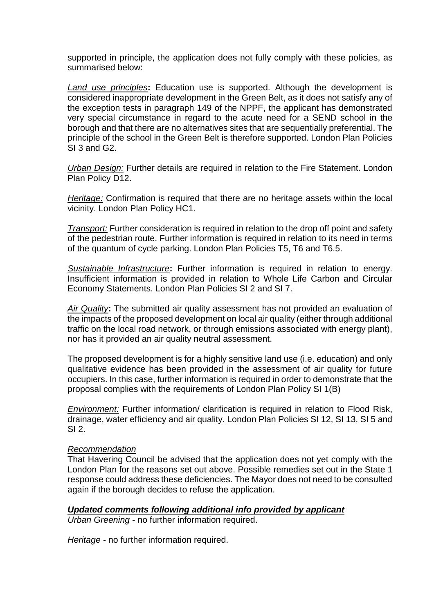supported in principle, the application does not fully comply with these policies, as summarised below:

*Land use principles***:** Education use is supported. Although the development is considered inappropriate development in the Green Belt, as it does not satisfy any of the exception tests in paragraph 149 of the NPPF, the applicant has demonstrated very special circumstance in regard to the acute need for a SEND school in the borough and that there are no alternatives sites that are sequentially preferential. The principle of the school in the Green Belt is therefore supported. London Plan Policies SI 3 and G2.

*Urban Design:* Further details are required in relation to the Fire Statement. London Plan Policy D12.

*Heritage:* Confirmation is required that there are no heritage assets within the local vicinity. London Plan Policy HC1.

*Transport:* Further consideration is required in relation to the drop off point and safety of the pedestrian route. Further information is required in relation to its need in terms of the quantum of cycle parking. London Plan Policies T5, T6 and T6.5.

*Sustainable Infrastructure***:** Further information is required in relation to energy. Insufficient information is provided in relation to Whole Life Carbon and Circular Economy Statements. London Plan Policies SI 2 and SI 7.

*Air Quality***:** The submitted air quality assessment has not provided an evaluation of the impacts of the proposed development on local air quality (either through additional traffic on the local road network, or through emissions associated with energy plant), nor has it provided an air quality neutral assessment.

The proposed development is for a highly sensitive land use (i.e. education) and only qualitative evidence has been provided in the assessment of air quality for future occupiers. In this case, further information is required in order to demonstrate that the proposal complies with the requirements of London Plan Policy SI 1(B)

*Environment:* Further information/ clarification is required in relation to Flood Risk, drainage, water efficiency and air quality. London Plan Policies SI 12, SI 13, SI 5 and  $SI$  2.

#### *Recommendation*

That Havering Council be advised that the application does not yet comply with the London Plan for the reasons set out above. Possible remedies set out in the State 1 response could address these deficiencies. The Mayor does not need to be consulted again if the borough decides to refuse the application.

## *Updated comments following additional info provided by applicant*

*Urban Greening* - no further information required.

*Heritage* - no further information required.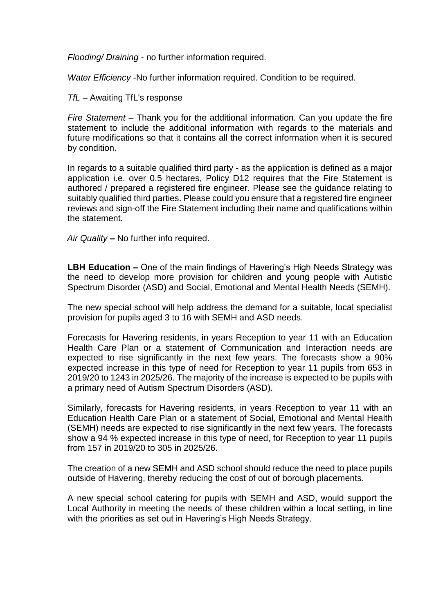*Flooding/ Draining* - no further information required.

*Water Efficiency* -No further information required. Condition to be required.

*TfL –* Awaiting TfL's response

*Fire Statement –* Thank you for the additional information. Can you update the fire statement to include the additional information with regards to the materials and future modifications so that it contains all the correct information when it is secured by condition.

In regards to a suitable qualified third party - as the application is defined as a major application i.e. over 0.5 hectares, Policy D12 requires that the Fire Statement is authored / prepared a registered fire engineer. Please see the guidance relating to suitably qualified third parties. Please could you ensure that a registered fire engineer reviews and sign-off the Fire Statement including their name and qualifications within the statement.

*Air Quality* **–** No further info required.

**LBH Education –** One of the main findings of Havering's High Needs Strategy was the need to develop more provision for children and young people with Autistic Spectrum Disorder (ASD) and Social, Emotional and Mental Health Needs (SEMH).

The new special school will help address the demand for a suitable, local specialist provision for pupils aged 3 to 16 with SEMH and ASD needs.

Forecasts for Havering residents, in years Reception to year 11 with an Education Health Care Plan or a statement of Communication and Interaction needs are expected to rise significantly in the next few years. The forecasts show a 90% expected increase in this type of need for Reception to year 11 pupils from 653 in 2019/20 to 1243 in 2025/26. The majority of the increase is expected to be pupils with a primary need of Autism Spectrum Disorders (ASD).

Similarly, forecasts for Havering residents, in years Reception to year 11 with an Education Health Care Plan or a statement of Social, Emotional and Mental Health (SEMH) needs are expected to rise significantly in the next few years. The forecasts show a 94 % expected increase in this type of need, for Reception to year 11 pupils from 157 in 2019/20 to 305 in 2025/26.

The creation of a new SEMH and ASD school should reduce the need to place pupils outside of Havering, thereby reducing the cost of out of borough placements.

A new special school catering for pupils with SEMH and ASD, would support the Local Authority in meeting the needs of these children within a local setting, in line with the priorities as set out in Havering's High Needs Strategy.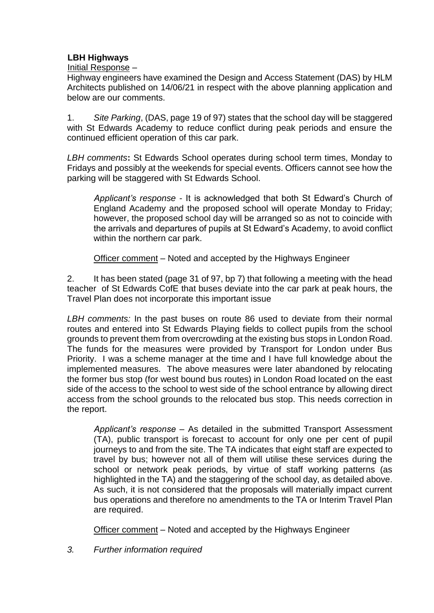# **LBH Highways**

Initial Response *–*

Highway engineers have examined the Design and Access Statement (DAS) by HLM Architects published on 14/06/21 in respect with the above planning application and below are our comments.

1. *Site Parking*, (DAS, page 19 of 97) states that the school day will be staggered with St Edwards Academy to reduce conflict during peak periods and ensure the continued efficient operation of this car park.

*LBH comments***:** St Edwards School operates during school term times, Monday to Fridays and possibly at the weekends for special events. Officers cannot see how the parking will be staggered with St Edwards School.

*Applicant's response* - It is acknowledged that both St Edward's Church of England Academy and the proposed school will operate Monday to Friday; however, the proposed school day will be arranged so as not to coincide with the arrivals and departures of pupils at St Edward's Academy, to avoid conflict within the northern car park.

Officer comment – Noted and accepted by the Highways Engineer

2. It has been stated (page 31 of 97, bp 7) that following a meeting with the head teacher of St Edwards CofE that buses deviate into the car park at peak hours, the Travel Plan does not incorporate this important issue

*LBH comments:* In the past buses on route 86 used to deviate from their normal routes and entered into St Edwards Playing fields to collect pupils from the school grounds to prevent them from overcrowding at the existing bus stops in London Road. The funds for the measures were provided by Transport for London under Bus Priority. I was a scheme manager at the time and I have full knowledge about the implemented measures. The above measures were later abandoned by relocating the former bus stop (for west bound bus routes) in London Road located on the east side of the access to the school to west side of the school entrance by allowing direct access from the school grounds to the relocated bus stop. This needs correction in the report.

*Applicant's response* – As detailed in the submitted Transport Assessment (TA), public transport is forecast to account for only one per cent of pupil journeys to and from the site. The TA indicates that eight staff are expected to travel by bus; however not all of them will utilise these services during the school or network peak periods, by virtue of staff working patterns (as highlighted in the TA) and the staggering of the school day, as detailed above. As such, it is not considered that the proposals will materially impact current bus operations and therefore no amendments to the TA or Interim Travel Plan are required.

Officer comment – Noted and accepted by the Highways Engineer

*3. Further information required*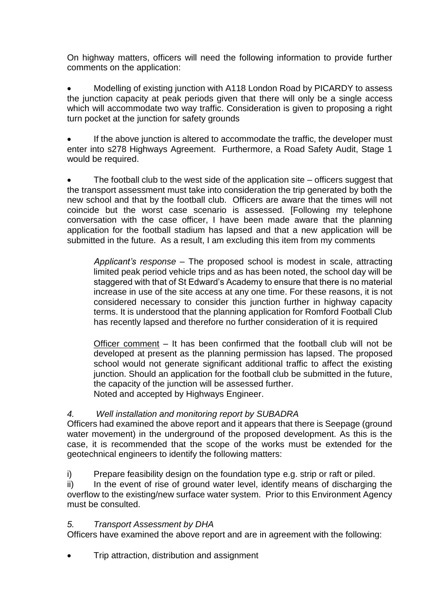On highway matters, officers will need the following information to provide further comments on the application:

 Modelling of existing junction with A118 London Road by PICARDY to assess the junction capacity at peak periods given that there will only be a single access which will accommodate two way traffic. Consideration is given to proposing a right turn pocket at the junction for safety grounds

 If the above junction is altered to accommodate the traffic, the developer must enter into s278 Highways Agreement. Furthermore, a Road Safety Audit, Stage 1 would be required.

 The football club to the west side of the application site – officers suggest that the transport assessment must take into consideration the trip generated by both the new school and that by the football club. Officers are aware that the times will not coincide but the worst case scenario is assessed. [Following my telephone conversation with the case officer, I have been made aware that the planning application for the football stadium has lapsed and that a new application will be submitted in the future. As a result, I am excluding this item from my comments

*Applicant's response* – The proposed school is modest in scale, attracting limited peak period vehicle trips and as has been noted, the school day will be staggered with that of St Edward's Academy to ensure that there is no material increase in use of the site access at any one time. For these reasons, it is not considered necessary to consider this junction further in highway capacity terms. It is understood that the planning application for Romford Football Club has recently lapsed and therefore no further consideration of it is required

Officer comment – It has been confirmed that the football club will not be developed at present as the planning permission has lapsed. The proposed school would not generate significant additional traffic to affect the existing junction. Should an application for the football club be submitted in the future, the capacity of the junction will be assessed further. Noted and accepted by Highways Engineer.

# *4. Well installation and monitoring report by SUBADRA*

Officers had examined the above report and it appears that there is Seepage (ground water movement) in the underground of the proposed development. As this is the case, it is recommended that the scope of the works must be extended for the geotechnical engineers to identify the following matters:

i) Prepare feasibility design on the foundation type e.g. strip or raft or piled.

ii) In the event of rise of ground water level, identify means of discharging the overflow to the existing/new surface water system. Prior to this Environment Agency must be consulted.

## *5. Transport Assessment by DHA*

Officers have examined the above report and are in agreement with the following:

Trip attraction, distribution and assignment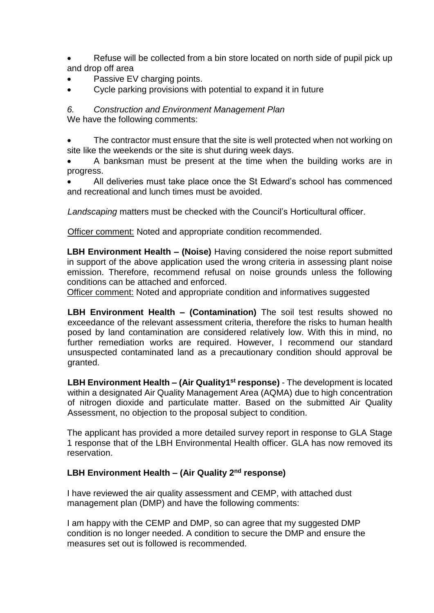- Refuse will be collected from a bin store located on north side of pupil pick up and drop off area
- Passive EV charging points.
- Cycle parking provisions with potential to expand it in future

*6. Construction and Environment Management Plan* We have the following comments:

 The contractor must ensure that the site is well protected when not working on site like the weekends or the site is shut during week days.

 A banksman must be present at the time when the building works are in progress.

 All deliveries must take place once the St Edward's school has commenced and recreational and lunch times must be avoided.

*Landscaping* matters must be checked with the Council's Horticultural officer.

Officer comment: Noted and appropriate condition recommended.

**LBH Environment Health – (Noise)** Having considered the noise report submitted in support of the above application used the wrong criteria in assessing plant noise emission. Therefore, recommend refusal on noise grounds unless the following conditions can be attached and enforced.

Officer comment: Noted and appropriate condition and informatives suggested

**LBH Environment Health – (Contamination)** The soil test results showed no exceedance of the relevant assessment criteria, therefore the risks to human health posed by land contamination are considered relatively low. With this in mind, no further remediation works are required. However, I recommend our standard unsuspected contaminated land as a precautionary condition should approval be granted.

**LBH Environment Health – (Air Quality1 st response)** - The development is located within a designated Air Quality Management Area (AQMA) due to high concentration of nitrogen dioxide and particulate matter. Based on the submitted Air Quality Assessment, no objection to the proposal subject to condition.

The applicant has provided a more detailed survey report in response to GLA Stage 1 response that of the LBH Environmental Health officer. GLA has now removed its reservation.

# **LBH Environment Health – (Air Quality 2nd response)**

I have reviewed the air quality assessment and CEMP, with attached dust management plan (DMP) and have the following comments:

I am happy with the CEMP and DMP, so can agree that my suggested DMP condition is no longer needed. A condition to secure the DMP and ensure the measures set out is followed is recommended.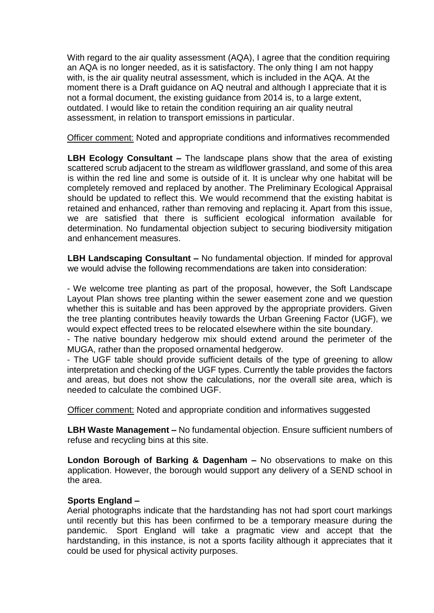With regard to the air quality assessment (AQA), I agree that the condition requiring an AQA is no longer needed, as it is satisfactory. The only thing I am not happy with, is the air quality neutral assessment, which is included in the AQA. At the moment there is a Draft guidance on AQ neutral and although I appreciate that it is not a formal document, the existing guidance from 2014 is, to a large extent, outdated. I would like to retain the condition requiring an air quality neutral assessment, in relation to transport emissions in particular.

Officer comment: Noted and appropriate conditions and informatives recommended

**LBH Ecology Consultant –** The landscape plans show that the area of existing scattered scrub adjacent to the stream as wildflower grassland, and some of this area is within the red line and some is outside of it. It is unclear why one habitat will be completely removed and replaced by another. The Preliminary Ecological Appraisal should be updated to reflect this. We would recommend that the existing habitat is retained and enhanced, rather than removing and replacing it. Apart from this issue, we are satisfied that there is sufficient ecological information available for determination. No fundamental objection subject to securing biodiversity mitigation and enhancement measures.

**LBH Landscaping Consultant –** No fundamental objection. If minded for approval we would advise the following recommendations are taken into consideration:

- We welcome tree planting as part of the proposal, however, the Soft Landscape Layout Plan shows tree planting within the sewer easement zone and we question whether this is suitable and has been approved by the appropriate providers. Given the tree planting contributes heavily towards the Urban Greening Factor (UGF), we would expect effected trees to be relocated elsewhere within the site boundary.

- The native boundary hedgerow mix should extend around the perimeter of the MUGA, rather than the proposed ornamental hedgerow.

- The UGF table should provide sufficient details of the type of greening to allow interpretation and checking of the UGF types. Currently the table provides the factors and areas, but does not show the calculations, nor the overall site area, which is needed to calculate the combined UGF.

Officer comment: Noted and appropriate condition and informatives suggested

**LBH Waste Management –** No fundamental objection. Ensure sufficient numbers of refuse and recycling bins at this site.

**London Borough of Barking & Dagenham –** No observations to make on this application. However, the borough would support any delivery of a SEND school in the area.

## **Sports England –**

Aerial photographs indicate that the hardstanding has not had sport court markings until recently but this has been confirmed to be a temporary measure during the pandemic. Sport England will take a pragmatic view and accept that the hardstanding, in this instance, is not a sports facility although it appreciates that it could be used for physical activity purposes.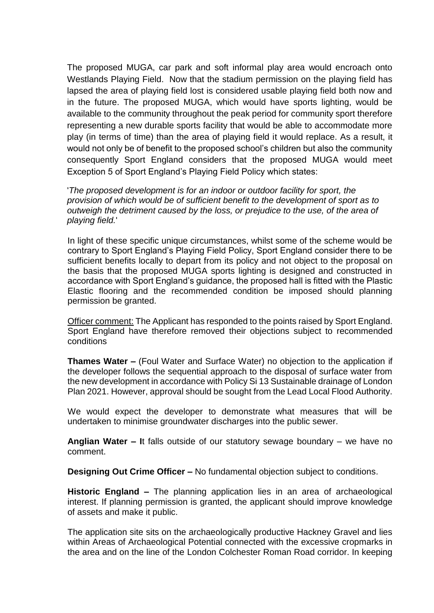The proposed MUGA, car park and soft informal play area would encroach onto Westlands Playing Field. Now that the stadium permission on the playing field has lapsed the area of playing field lost is considered usable playing field both now and in the future. The proposed MUGA, which would have sports lighting, would be available to the community throughout the peak period for community sport therefore representing a new durable sports facility that would be able to accommodate more play (in terms of time) than the area of playing field it would replace. As a result, it would not only be of benefit to the proposed school's children but also the community consequently Sport England considers that the proposed MUGA would meet Exception 5 of Sport England's Playing Field Policy which states:

'*The proposed development is for an indoor or outdoor facility for sport, the provision of which would be of sufficient benefit to the development of sport as to outweigh the detriment caused by the loss, or prejudice to the use, of the area of playing field.*'

In light of these specific unique circumstances, whilst some of the scheme would be contrary to Sport England's Playing Field Policy, Sport England consider there to be sufficient benefits locally to depart from its policy and not object to the proposal on the basis that the proposed MUGA sports lighting is designed and constructed in accordance with Sport England's guidance, the proposed hall is fitted with the Plastic Elastic flooring and the recommended condition be imposed should planning permission be granted.

Officer comment: The Applicant has responded to the points raised by Sport England. Sport England have therefore removed their objections subject to recommended conditions

**Thames Water –** (Foul Water and Surface Water) no objection to the application if the developer follows the sequential approach to the disposal of surface water from the new development in accordance with Policy Si 13 Sustainable drainage of London Plan 2021. However, approval should be sought from the Lead Local Flood Authority.

We would expect the developer to demonstrate what measures that will be undertaken to minimise groundwater discharges into the public sewer.

**Anglian Water – I**t falls outside of our statutory sewage boundary – we have no comment.

**Designing Out Crime Officer –** No fundamental objection subject to conditions.

**Historic England –** The planning application lies in an area of archaeological interest. If planning permission is granted, the applicant should improve knowledge of assets and make it public.

The application site sits on the archaeologically productive Hackney Gravel and lies within Areas of Archaeological Potential connected with the excessive cropmarks in the area and on the line of the London Colchester Roman Road corridor. In keeping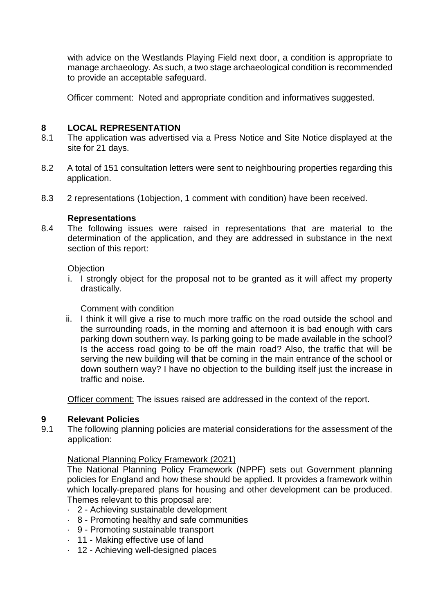with advice on the Westlands Playing Field next door, a condition is appropriate to manage archaeology. As such, a two stage archaeological condition is recommended to provide an acceptable safeguard.

Officer comment: Noted and appropriate condition and informatives suggested.

## **8 LOCAL REPRESENTATION**

- 8.1 The application was advertised via a Press Notice and Site Notice displayed at the site for 21 days.
- 8.2 A total of 151 consultation letters were sent to neighbouring properties regarding this application.
- 8.3 2 representations (1objection, 1 comment with condition) have been received.

# **Representations**

8.4 The following issues were raised in representations that are material to the determination of the application, and they are addressed in substance in the next section of this report:

# **Objection**

i. I strongly object for the proposal not to be granted as it will affect my property drastically.

Comment with condition

ii. I think it will give a rise to much more traffic on the road outside the school and the surrounding roads, in the morning and afternoon it is bad enough with cars parking down southern way. Is parking going to be made available in the school? Is the access road going to be off the main road? Also, the traffic that will be serving the new building will that be coming in the main entrance of the school or down southern way? I have no objection to the building itself just the increase in traffic and noise.

Officer comment: The issues raised are addressed in the context of the report.

# **9 Relevant Policies**

9.1 The following planning policies are material considerations for the assessment of the application:

## National Planning Policy Framework (2021)

The National Planning Policy Framework (NPPF) sets out Government planning policies for England and how these should be applied. It provides a framework within which locally-prepared plans for housing and other development can be produced. Themes relevant to this proposal are:

- · 2 Achieving sustainable development
- · 8 Promoting healthy and safe communities
- · 9 Promoting sustainable transport
- · 11 Making effective use of land
- · 12 Achieving well-designed places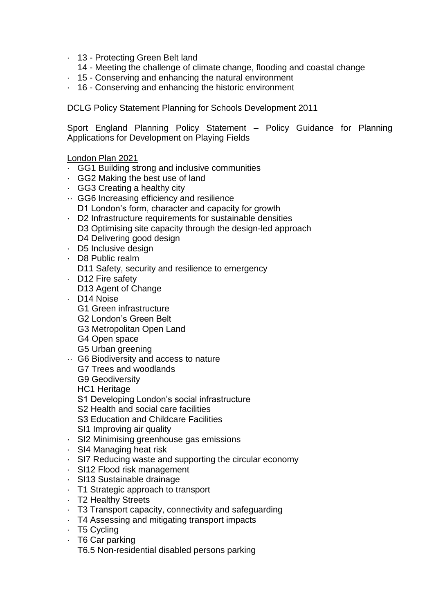- · 13 Protecting Green Belt land
	- 14 Meeting the challenge of climate change, flooding and coastal change
- · 15 Conserving and enhancing the natural environment
- · 16 Conserving and enhancing the historic environment

DCLG Policy Statement Planning for Schools Development 2011

Sport England Planning Policy Statement – Policy Guidance for Planning Applications for Development on Playing Fields

## London Plan 2021

- · GG1 Building strong and inclusive communities
- · GG2 Making the best use of land
- · GG3 Creating a healthy city
- ·· GG6 Increasing efficiency and resilience D1 London's form, character and capacity for growth
- · D2 Infrastructure requirements for sustainable densities D3 Optimising site capacity through the design-led approach
- D<sub>4</sub> Delivering good design
- · D5 Inclusive design
- · D8 Public realm
	- D11 Safety, security and resilience to emergency
- · D12 Fire safety
	- D13 Agent of Change
- · D14 Noise
	- G1 Green infrastructure
	- G2 London's Green Belt
	- G3 Metropolitan Open Land
	- G4 Open space
	- G5 Urban greening
- ·· G6 Biodiversity and access to nature
	- G7 Trees and woodlands
	- G9 Geodiversity

HC1 Heritage

- S1 Developing London's social infrastructure
- S2 Health and social care facilities
- S3 Education and Childcare Facilities
- SI1 Improving air quality
- · SI2 Minimising greenhouse gas emissions
- · SI4 Managing heat risk
- · SI7 Reducing waste and supporting the circular economy
- · SI12 Flood risk management
- · SI13 Sustainable drainage
- · T1 Strategic approach to transport
- · T2 Healthy Streets
- · T3 Transport capacity, connectivity and safeguarding
- · T4 Assessing and mitigating transport impacts
- · T5 Cycling
- · T6 Car parking
	- T6.5 Non-residential disabled persons parking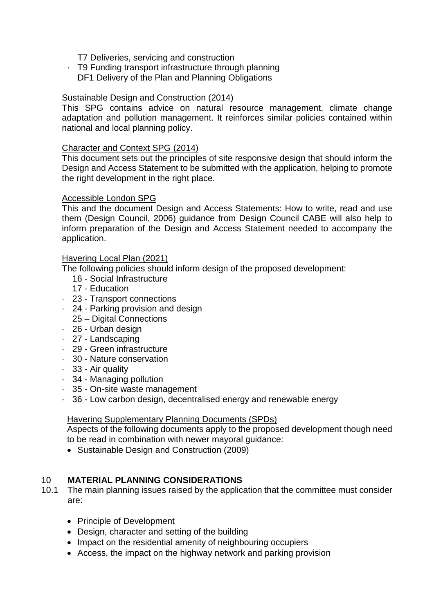T7 Deliveries, servicing and construction

· T9 Funding transport infrastructure through planning

DF1 Delivery of the Plan and Planning Obligations

# Sustainable Design and Construction (2014)

This SPG contains advice on natural resource management, climate change adaptation and pollution management. It reinforces similar policies contained within national and local planning policy.

# Character and Context SPG (2014)

This document sets out the principles of site responsive design that should inform the Design and Access Statement to be submitted with the application, helping to promote the right development in the right place.

## Accessible London SPG

This and the document Design and Access Statements: How to write, read and use them (Design Council, 2006) guidance from Design Council CABE will also help to inform preparation of the Design and Access Statement needed to accompany the application.

# Havering Local Plan (2021)

The following policies should inform design of the proposed development:

- 16 Social Infrastructure
	- 17 Education
- · 23 Transport connections
- · 24 Parking provision and design
	- 25 Digital Connections
- · 26 Urban design
- · 27 Landscaping
- · 29 Green infrastructure
- · 30 Nature conservation
- · 33 Air quality
- · 34 Managing pollution
- · 35 On-site waste management
- · 36 Low carbon design, decentralised energy and renewable energy

## Havering Supplementary Planning Documents (SPDs)

Aspects of the following documents apply to the proposed development though need to be read in combination with newer mayoral guidance:

Sustainable Design and Construction (2009)

# 10 **MATERIAL PLANNING CONSIDERATIONS**

- 10.1 The main planning issues raised by the application that the committee must consider are:
	- Principle of Development
	- Design, character and setting of the building
	- Impact on the residential amenity of neighbouring occupiers
	- Access, the impact on the highway network and parking provision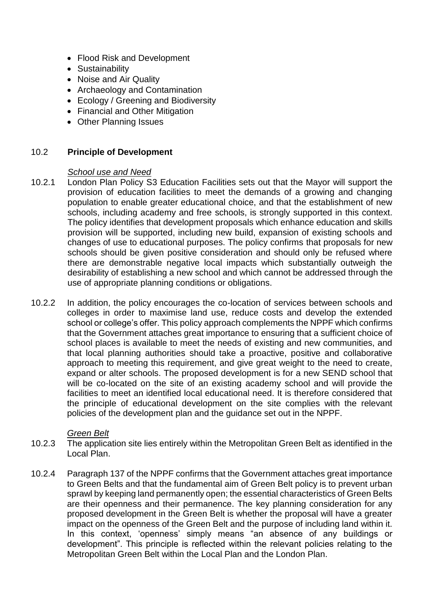- Flood Risk and Development
- Sustainability
- Noise and Air Quality
- Archaeology and Contamination
- Ecology / Greening and Biodiversity
- Financial and Other Mitigation
- Other Planning Issues

## 10.2 **Principle of Development**

#### *School use and Need*

- 10.2.1 London Plan Policy S3 Education Facilities sets out that the Mayor will support the provision of education facilities to meet the demands of a growing and changing population to enable greater educational choice, and that the establishment of new schools, including academy and free schools, is strongly supported in this context. The policy identifies that development proposals which enhance education and skills provision will be supported, including new build, expansion of existing schools and changes of use to educational purposes. The policy confirms that proposals for new schools should be given positive consideration and should only be refused where there are demonstrable negative local impacts which substantially outweigh the desirability of establishing a new school and which cannot be addressed through the use of appropriate planning conditions or obligations.
- 10.2.2 In addition, the policy encourages the co-location of services between schools and colleges in order to maximise land use, reduce costs and develop the extended school or college's offer. This policy approach complements the NPPF which confirms that the Government attaches great importance to ensuring that a sufficient choice of school places is available to meet the needs of existing and new communities, and that local planning authorities should take a proactive, positive and collaborative approach to meeting this requirement, and give great weight to the need to create. expand or alter schools. The proposed development is for a new SEND school that will be co-located on the site of an existing academy school and will provide the facilities to meet an identified local educational need. It is therefore considered that the principle of educational development on the site complies with the relevant policies of the development plan and the guidance set out in the NPPF.

## *Green Belt*

- 10.2.3 The application site lies entirely within the Metropolitan Green Belt as identified in the Local Plan.
- 10.2.4 Paragraph 137 of the NPPF confirms that the Government attaches great importance to Green Belts and that the fundamental aim of Green Belt policy is to prevent urban sprawl by keeping land permanently open; the essential characteristics of Green Belts are their openness and their permanence. The key planning consideration for any proposed development in the Green Belt is whether the proposal will have a greater impact on the openness of the Green Belt and the purpose of including land within it. In this context, 'openness' simply means "an absence of any buildings or development". This principle is reflected within the relevant policies relating to the Metropolitan Green Belt within the Local Plan and the London Plan.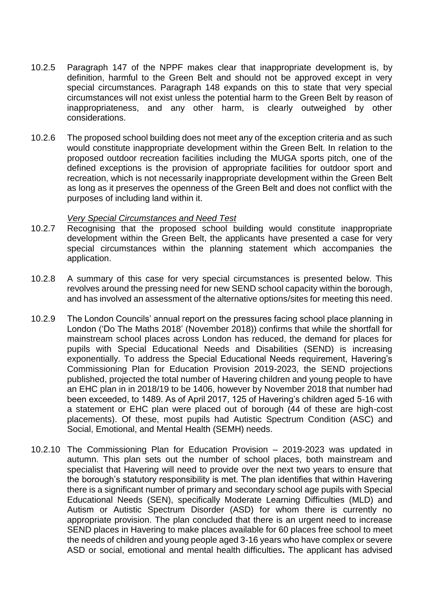- 10.2.5 Paragraph 147 of the NPPF makes clear that inappropriate development is, by definition, harmful to the Green Belt and should not be approved except in very special circumstances. Paragraph 148 expands on this to state that very special circumstances will not exist unless the potential harm to the Green Belt by reason of inappropriateness, and any other harm, is clearly outweighed by other considerations.
- 10.2.6 The proposed school building does not meet any of the exception criteria and as such would constitute inappropriate development within the Green Belt. In relation to the proposed outdoor recreation facilities including the MUGA sports pitch, one of the defined exceptions is the provision of appropriate facilities for outdoor sport and recreation, which is not necessarily inappropriate development within the Green Belt as long as it preserves the openness of the Green Belt and does not conflict with the purposes of including land within it.

#### *Very Special Circumstances and Need Test*

- 10.2.7 Recognising that the proposed school building would constitute inappropriate development within the Green Belt, the applicants have presented a case for very special circumstances within the planning statement which accompanies the application.
- 10.2.8 A summary of this case for very special circumstances is presented below. This revolves around the pressing need for new SEND school capacity within the borough, and has involved an assessment of the alternative options/sites for meeting this need.
- 10.2.9 The London Councils' annual report on the pressures facing school place planning in London ('Do The Maths 2018' (November 2018)) confirms that while the shortfall for mainstream school places across London has reduced, the demand for places for pupils with Special Educational Needs and Disabilities (SEND) is increasing exponentially. To address the Special Educational Needs requirement, Havering's Commissioning Plan for Education Provision 2019-2023, the SEND projections published, projected the total number of Havering children and young people to have an EHC plan in in 2018/19 to be 1406, however by November 2018 that number had been exceeded, to 1489. As of April 2017, 125 of Havering's children aged 5-16 with a statement or EHC plan were placed out of borough (44 of these are high-cost placements). Of these, most pupils had Autistic Spectrum Condition (ASC) and Social, Emotional, and Mental Health (SEMH) needs.
- 10.2.10 The Commissioning Plan for Education Provision 2019-2023 was updated in autumn. This plan sets out the number of school places, both mainstream and specialist that Havering will need to provide over the next two years to ensure that the borough's statutory responsibility is met. The plan identifies that within Havering there is a significant number of primary and secondary school age pupils with Special Educational Needs (SEN), specifically Moderate Learning Difficulties (MLD) and Autism or Autistic Spectrum Disorder (ASD) for whom there is currently no appropriate provision. The plan concluded that there is an urgent need to increase SEND places in Havering to make places available for 60 places free school to meet the needs of children and young people aged 3-16 years who have complex or severe ASD or social, emotional and mental health difficulties**.** The applicant has advised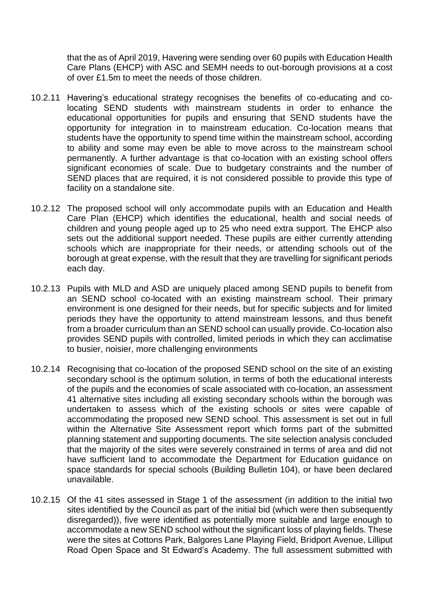that the as of April 2019, Havering were sending over 60 pupils with Education Health Care Plans (EHCP) with ASC and SEMH needs to out-borough provisions at a cost of over £1.5m to meet the needs of those children.

- 10.2.11 Havering's educational strategy recognises the benefits of co-educating and colocating SEND students with mainstream students in order to enhance the educational opportunities for pupils and ensuring that SEND students have the opportunity for integration in to mainstream education. Co-location means that students have the opportunity to spend time within the mainstream school, according to ability and some may even be able to move across to the mainstream school permanently. A further advantage is that co-location with an existing school offers significant economies of scale. Due to budgetary constraints and the number of SEND places that are required, it is not considered possible to provide this type of facility on a standalone site.
- 10.2.12 The proposed school will only accommodate pupils with an Education and Health Care Plan (EHCP) which identifies the educational, health and social needs of children and young people aged up to 25 who need extra support. The EHCP also sets out the additional support needed. These pupils are either currently attending schools which are inappropriate for their needs, or attending schools out of the borough at great expense, with the result that they are travelling for significant periods each day.
- 10.2.13 Pupils with MLD and ASD are uniquely placed among SEND pupils to benefit from an SEND school co-located with an existing mainstream school. Their primary environment is one designed for their needs, but for specific subjects and for limited periods they have the opportunity to attend mainstream lessons, and thus benefit from a broader curriculum than an SEND school can usually provide. Co-location also provides SEND pupils with controlled, limited periods in which they can acclimatise to busier, noisier, more challenging environments
- 10.2.14 Recognising that co-location of the proposed SEND school on the site of an existing secondary school is the optimum solution, in terms of both the educational interests of the pupils and the economies of scale associated with co-location, an assessment 41 alternative sites including all existing secondary schools within the borough was undertaken to assess which of the existing schools or sites were capable of accommodating the proposed new SEND school. This assessment is set out in full within the Alternative Site Assessment report which forms part of the submitted planning statement and supporting documents. The site selection analysis concluded that the majority of the sites were severely constrained in terms of area and did not have sufficient land to accommodate the Department for Education guidance on space standards for special schools (Building Bulletin 104), or have been declared unavailable.
- 10.2.15 Of the 41 sites assessed in Stage 1 of the assessment (in addition to the initial two sites identified by the Council as part of the initial bid (which were then subsequently disregarded)), five were identified as potentially more suitable and large enough to accommodate a new SEND school without the significant loss of playing fields. These were the sites at Cottons Park, Balgores Lane Playing Field, Bridport Avenue, Lilliput Road Open Space and St Edward's Academy. The full assessment submitted with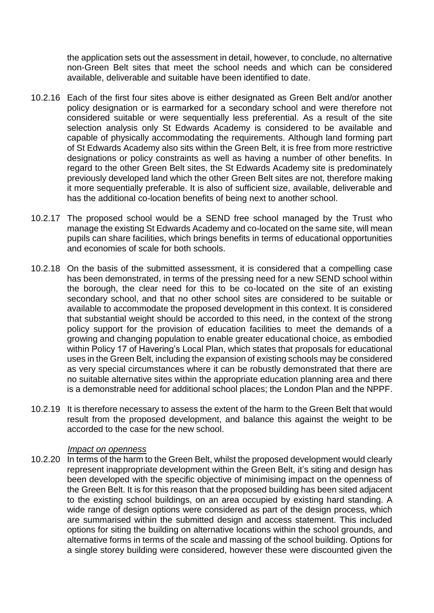the application sets out the assessment in detail, however, to conclude, no alternative non-Green Belt sites that meet the school needs and which can be considered available, deliverable and suitable have been identified to date.

- 10.2.16 Each of the first four sites above is either designated as Green Belt and/or another policy designation or is earmarked for a secondary school and were therefore not considered suitable or were sequentially less preferential. As a result of the site selection analysis only St Edwards Academy is considered to be available and capable of physically accommodating the requirements. Although land forming part of St Edwards Academy also sits within the Green Belt, it is free from more restrictive designations or policy constraints as well as having a number of other benefits. In regard to the other Green Belt sites, the St Edwards Academy site is predominately previously developed land which the other Green Belt sites are not, therefore making it more sequentially preferable. It is also of sufficient size, available, deliverable and has the additional co-location benefits of being next to another school.
- 10.2.17 The proposed school would be a SEND free school managed by the Trust who manage the existing St Edwards Academy and co-located on the same site, will mean pupils can share facilities, which brings benefits in terms of educational opportunities and economies of scale for both schools.
- 10.2.18 On the basis of the submitted assessment, it is considered that a compelling case has been demonstrated, in terms of the pressing need for a new SEND school within the borough, the clear need for this to be co-located on the site of an existing secondary school, and that no other school sites are considered to be suitable or available to accommodate the proposed development in this context. It is considered that substantial weight should be accorded to this need, in the context of the strong policy support for the provision of education facilities to meet the demands of a growing and changing population to enable greater educational choice, as embodied within Policy 17 of Havering's Local Plan, which states that proposals for educational uses in the Green Belt, including the expansion of existing schools may be considered as very special circumstances where it can be robustly demonstrated that there are no suitable alternative sites within the appropriate education planning area and there is a demonstrable need for additional school places; the London Plan and the NPPF.
- 10.2.19 It is therefore necessary to assess the extent of the harm to the Green Belt that would result from the proposed development, and balance this against the weight to be accorded to the case for the new school.

#### *Impact on openness*

10.2.20 In terms of the harm to the Green Belt, whilst the proposed development would clearly represent inappropriate development within the Green Belt, it's siting and design has been developed with the specific objective of minimising impact on the openness of the Green Belt. It is for this reason that the proposed building has been sited adjacent to the existing school buildings, on an area occupied by existing hard standing. A wide range of design options were considered as part of the design process, which are summarised within the submitted design and access statement. This included options for siting the building on alternative locations within the school grounds, and alternative forms in terms of the scale and massing of the school building. Options for a single storey building were considered, however these were discounted given the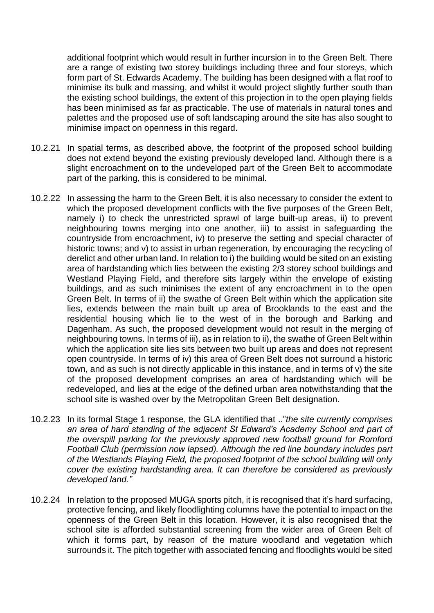additional footprint which would result in further incursion in to the Green Belt. There are a range of existing two storey buildings including three and four storeys, which form part of St. Edwards Academy. The building has been designed with a flat roof to minimise its bulk and massing, and whilst it would project slightly further south than the existing school buildings, the extent of this projection in to the open playing fields has been minimised as far as practicable. The use of materials in natural tones and palettes and the proposed use of soft landscaping around the site has also sought to minimise impact on openness in this regard.

- 10.2.21 In spatial terms, as described above, the footprint of the proposed school building does not extend beyond the existing previously developed land. Although there is a slight encroachment on to the undeveloped part of the Green Belt to accommodate part of the parking, this is considered to be minimal.
- 10.2.22 In assessing the harm to the Green Belt, it is also necessary to consider the extent to which the proposed development conflicts with the five purposes of the Green Belt, namely i) to check the unrestricted sprawl of large built-up areas, ii) to prevent neighbouring towns merging into one another, iii) to assist in safeguarding the countryside from encroachment, iv) to preserve the setting and special character of historic towns; and v) to assist in urban regeneration, by encouraging the recycling of derelict and other urban land. In relation to i) the building would be sited on an existing area of hardstanding which lies between the existing 2/3 storey school buildings and Westland Playing Field, and therefore sits largely within the envelope of existing buildings, and as such minimises the extent of any encroachment in to the open Green Belt. In terms of ii) the swathe of Green Belt within which the application site lies, extends between the main built up area of Brooklands to the east and the residential housing which lie to the west of in the borough and Barking and Dagenham. As such, the proposed development would not result in the merging of neighbouring towns. In terms of iii), as in relation to ii), the swathe of Green Belt within which the application site lies sits between two built up areas and does not represent open countryside. In terms of iv) this area of Green Belt does not surround a historic town, and as such is not directly applicable in this instance, and in terms of v) the site of the proposed development comprises an area of hardstanding which will be redeveloped, and lies at the edge of the defined urban area notwithstanding that the school site is washed over by the Metropolitan Green Belt designation.
- 10.2.23 In its formal Stage 1 response, the GLA identified that .."*the site currently comprises an area of hard standing of the adjacent St Edward's Academy School and part of the overspill parking for the previously approved new football ground for Romford Football Club (permission now lapsed). Although the red line boundary includes part of the Westlands Playing Field, the proposed footprint of the school building will only cover the existing hardstanding area. It can therefore be considered as previously developed land."*
- 10.2.24 In relation to the proposed MUGA sports pitch, it is recognised that it's hard surfacing, protective fencing, and likely floodlighting columns have the potential to impact on the openness of the Green Belt in this location. However, it is also recognised that the school site is afforded substantial screening from the wider area of Green Belt of which it forms part, by reason of the mature woodland and vegetation which surrounds it. The pitch together with associated fencing and floodlights would be sited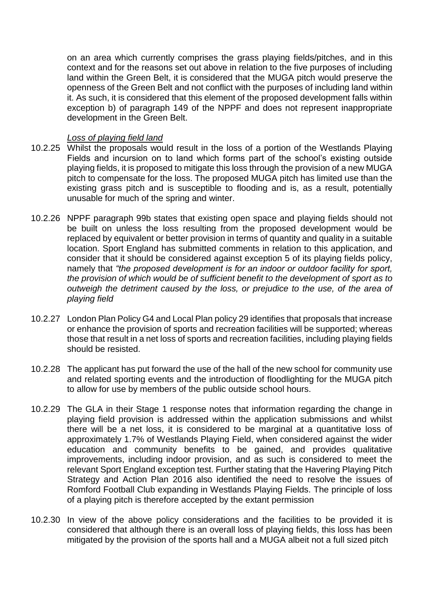on an area which currently comprises the grass playing fields/pitches, and in this context and for the reasons set out above in relation to the five purposes of including land within the Green Belt, it is considered that the MUGA pitch would preserve the openness of the Green Belt and not conflict with the purposes of including land within it. As such, it is considered that this element of the proposed development falls within exception b) of paragraph 149 of the NPPF and does not represent inappropriate development in the Green Belt.

# *Loss of playing field land*

- 10.2.25 Whilst the proposals would result in the loss of a portion of the Westlands Playing Fields and incursion on to land which forms part of the school's existing outside playing fields, it is proposed to mitigate this loss through the provision of a new MUGA pitch to compensate for the loss. The proposed MUGA pitch has limited use than the existing grass pitch and is susceptible to flooding and is, as a result, potentially unusable for much of the spring and winter.
- 10.2.26 NPPF paragraph 99b states that existing open space and playing fields should not be built on unless the loss resulting from the proposed development would be replaced by equivalent or better provision in terms of quantity and quality in a suitable location. Sport England has submitted comments in relation to this application, and consider that it should be considered against exception 5 of its playing fields policy, namely that *"the proposed development is for an indoor or outdoor facility for sport, the provision of which would be of sufficient benefit to the development of sport as to outweigh the detriment caused by the loss, or prejudice to the use, of the area of playing field*
- 10.2.27 London Plan Policy G4 and Local Plan policy 29 identifies that proposals that increase or enhance the provision of sports and recreation facilities will be supported; whereas those that result in a net loss of sports and recreation facilities, including playing fields should be resisted.
- 10.2.28 The applicant has put forward the use of the hall of the new school for community use and related sporting events and the introduction of floodlighting for the MUGA pitch to allow for use by members of the public outside school hours.
- 10.2.29 The GLA in their Stage 1 response notes that information regarding the change in playing field provision is addressed within the application submissions and whilst there will be a net loss, it is considered to be marginal at a quantitative loss of approximately 1.7% of Westlands Playing Field, when considered against the wider education and community benefits to be gained, and provides qualitative improvements, including indoor provision, and as such is considered to meet the relevant Sport England exception test. Further stating that the Havering Playing Pitch Strategy and Action Plan 2016 also identified the need to resolve the issues of Romford Football Club expanding in Westlands Playing Fields. The principle of loss of a playing pitch is therefore accepted by the extant permission
- 10.2.30 In view of the above policy considerations and the facilities to be provided it is considered that although there is an overall loss of playing fields, this loss has been mitigated by the provision of the sports hall and a MUGA albeit not a full sized pitch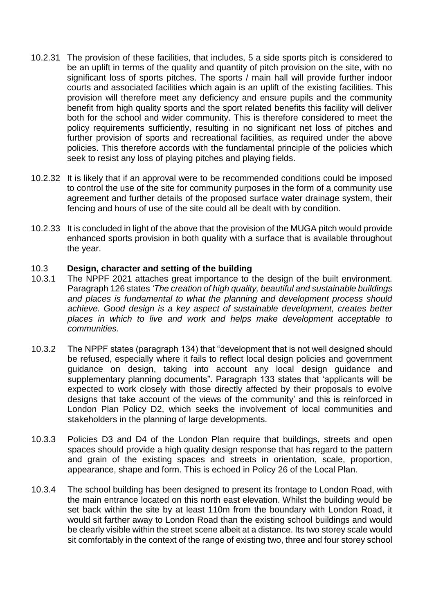- 10.2.31 The provision of these facilities, that includes, 5 a side sports pitch is considered to be an uplift in terms of the quality and quantity of pitch provision on the site, with no significant loss of sports pitches. The sports / main hall will provide further indoor courts and associated facilities which again is an uplift of the existing facilities. This provision will therefore meet any deficiency and ensure pupils and the community benefit from high quality sports and the sport related benefits this facility will deliver both for the school and wider community. This is therefore considered to meet the policy requirements sufficiently, resulting in no significant net loss of pitches and further provision of sports and recreational facilities, as required under the above policies. This therefore accords with the fundamental principle of the policies which seek to resist any loss of playing pitches and playing fields.
- 10.2.32 It is likely that if an approval were to be recommended conditions could be imposed to control the use of the site for community purposes in the form of a community use agreement and further details of the proposed surface water drainage system, their fencing and hours of use of the site could all be dealt with by condition.
- 10.2.33 It is concluded in light of the above that the provision of the MUGA pitch would provide enhanced sports provision in both quality with a surface that is available throughout the year.

#### 10.3 **Design, character and setting of the building**

- 10.3.1 The NPPF 2021 attaches great importance to the design of the built environment. Paragraph 126 states *'The creation of high quality, beautiful and sustainable buildings and places is fundamental to what the planning and development process should achieve. Good design is a key aspect of sustainable development, creates better places in which to live and work and helps make development acceptable to communities.*
- 10.3.2 The NPPF states (paragraph 134) that "development that is not well designed should be refused, especially where it fails to reflect local design policies and government guidance on design, taking into account any local design guidance and supplementary planning documents". Paragraph 133 states that 'applicants will be expected to work closely with those directly affected by their proposals to evolve designs that take account of the views of the community' and this is reinforced in London Plan Policy D2, which seeks the involvement of local communities and stakeholders in the planning of large developments.
- 10.3.3 Policies D3 and D4 of the London Plan require that buildings, streets and open spaces should provide a high quality design response that has regard to the pattern and grain of the existing spaces and streets in orientation, scale, proportion, appearance, shape and form. This is echoed in Policy 26 of the Local Plan.
- 10.3.4 The school building has been designed to present its frontage to London Road, with the main entrance located on this north east elevation. Whilst the building would be set back within the site by at least 110m from the boundary with London Road, it would sit farther away to London Road than the existing school buildings and would be clearly visible within the street scene albeit at a distance. Its two storey scale would sit comfortably in the context of the range of existing two, three and four storey school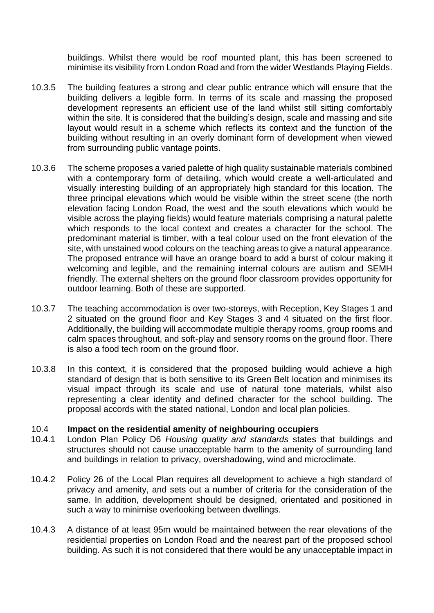buildings. Whilst there would be roof mounted plant, this has been screened to minimise its visibility from London Road and from the wider Westlands Playing Fields.

- 10.3.5 The building features a strong and clear public entrance which will ensure that the building delivers a legible form. In terms of its scale and massing the proposed development represents an efficient use of the land whilst still sitting comfortably within the site. It is considered that the building's design, scale and massing and site layout would result in a scheme which reflects its context and the function of the building without resulting in an overly dominant form of development when viewed from surrounding public vantage points.
- 10.3.6 The scheme proposes a varied palette of high quality sustainable materials combined with a contemporary form of detailing, which would create a well-articulated and visually interesting building of an appropriately high standard for this location. The three principal elevations which would be visible within the street scene (the north elevation facing London Road, the west and the south elevations which would be visible across the playing fields) would feature materials comprising a natural palette which responds to the local context and creates a character for the school. The predominant material is timber, with a teal colour used on the front elevation of the site, with unstained wood colours on the teaching areas to give a natural appearance. The proposed entrance will have an orange board to add a burst of colour making it welcoming and legible, and the remaining internal colours are autism and SEMH friendly. The external shelters on the ground floor classroom provides opportunity for outdoor learning. Both of these are supported.
- 10.3.7 The teaching accommodation is over two-storeys, with Reception, Key Stages 1 and 2 situated on the ground floor and Key Stages 3 and 4 situated on the first floor. Additionally, the building will accommodate multiple therapy rooms, group rooms and calm spaces throughout, and soft-play and sensory rooms on the ground floor. There is also a food tech room on the ground floor.
- 10.3.8 In this context, it is considered that the proposed building would achieve a high standard of design that is both sensitive to its Green Belt location and minimises its visual impact through its scale and use of natural tone materials, whilst also representing a clear identity and defined character for the school building. The proposal accords with the stated national, London and local plan policies.

# 10.4 **Impact on the residential amenity of neighbouring occupiers**

- London Plan Policy D6 *Housing quality and standards* states that buildings and structures should not cause unacceptable harm to the amenity of surrounding land and buildings in relation to privacy, overshadowing, wind and microclimate.
- 10.4.2 Policy 26 of the Local Plan requires all development to achieve a high standard of privacy and amenity, and sets out a number of criteria for the consideration of the same. In addition, development should be designed, orientated and positioned in such a way to minimise overlooking between dwellings.
- 10.4.3 A distance of at least 95m would be maintained between the rear elevations of the residential properties on London Road and the nearest part of the proposed school building. As such it is not considered that there would be any unacceptable impact in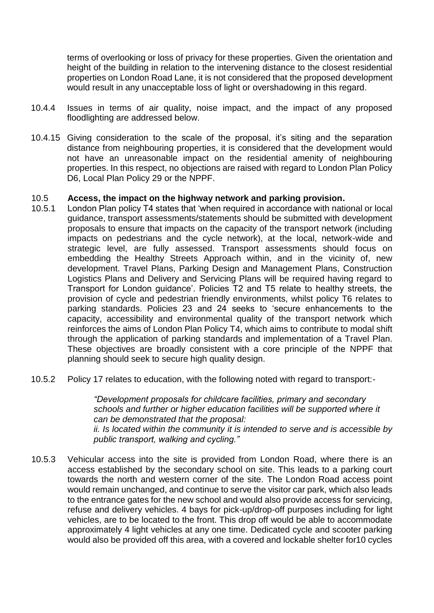terms of overlooking or loss of privacy for these properties. Given the orientation and height of the building in relation to the intervening distance to the closest residential properties on London Road Lane, it is not considered that the proposed development would result in any unacceptable loss of light or overshadowing in this regard.

- 10.4.4 Issues in terms of air quality, noise impact, and the impact of any proposed floodlighting are addressed below.
- 10.4.15 Giving consideration to the scale of the proposal, it's siting and the separation distance from neighbouring properties, it is considered that the development would not have an unreasonable impact on the residential amenity of neighbouring properties. In this respect, no objections are raised with regard to London Plan Policy D6, Local Plan Policy 29 or the NPPF.

#### 10.5 **Access, the impact on the highway network and parking provision.**

- 10.5.1 London Plan policy T4 states that 'when required in accordance with national or local guidance, transport assessments/statements should be submitted with development proposals to ensure that impacts on the capacity of the transport network (including impacts on pedestrians and the cycle network), at the local, network-wide and strategic level, are fully assessed. Transport assessments should focus on embedding the Healthy Streets Approach within, and in the vicinity of, new development. Travel Plans, Parking Design and Management Plans, Construction Logistics Plans and Delivery and Servicing Plans will be required having regard to Transport for London guidance'. Policies T2 and T5 relate to healthy streets, the provision of cycle and pedestrian friendly environments, whilst policy T6 relates to parking standards. Policies 23 and 24 seeks to 'secure enhancements to the capacity, accessibility and environmental quality of the transport network which reinforces the aims of London Plan Policy T4, which aims to contribute to modal shift through the application of parking standards and implementation of a Travel Plan. These objectives are broadly consistent with a core principle of the NPPF that planning should seek to secure high quality design.
- 10.5.2 Policy 17 relates to education, with the following noted with regard to transport:-

*"Development proposals for childcare facilities, primary and secondary schools and further or higher education facilities will be supported where it can be demonstrated that the proposal: ii. Is located within the community it is intended to serve and is accessible by public transport, walking and cycling."*

10.5.3 Vehicular access into the site is provided from London Road, where there is an access established by the secondary school on site. This leads to a parking court towards the north and western corner of the site. The London Road access point would remain unchanged, and continue to serve the visitor car park, which also leads to the entrance gates for the new school and would also provide access for servicing, refuse and delivery vehicles. 4 bays for pick-up/drop-off purposes including for light vehicles, are to be located to the front. This drop off would be able to accommodate approximately 4 light vehicles at any one time. Dedicated cycle and scooter parking would also be provided off this area, with a covered and lockable shelter for10 cycles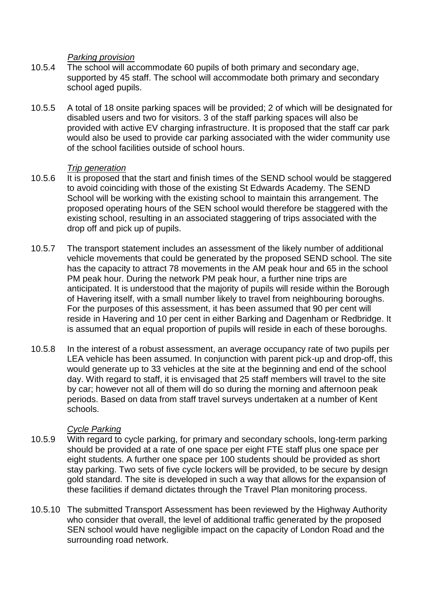## *Parking provision*

- 10.5.4 The school will accommodate 60 pupils of both primary and secondary age, supported by 45 staff. The school will accommodate both primary and secondary school aged pupils.
- 10.5.5 A total of 18 onsite parking spaces will be provided; 2 of which will be designated for disabled users and two for visitors. 3 of the staff parking spaces will also be provided with active EV charging infrastructure. It is proposed that the staff car park would also be used to provide car parking associated with the wider community use of the school facilities outside of school hours.

## *Trip generation*

- 10.5.6 It is proposed that the start and finish times of the SEND school would be staggered to avoid coinciding with those of the existing St Edwards Academy. The SEND School will be working with the existing school to maintain this arrangement. The proposed operating hours of the SEN school would therefore be staggered with the existing school, resulting in an associated staggering of trips associated with the drop off and pick up of pupils.
- 10.5.7 The transport statement includes an assessment of the likely number of additional vehicle movements that could be generated by the proposed SEND school. The site has the capacity to attract 78 movements in the AM peak hour and 65 in the school PM peak hour. During the network PM peak hour, a further nine trips are anticipated. It is understood that the majority of pupils will reside within the Borough of Havering itself, with a small number likely to travel from neighbouring boroughs. For the purposes of this assessment, it has been assumed that 90 per cent will reside in Havering and 10 per cent in either Barking and Dagenham or Redbridge. It is assumed that an equal proportion of pupils will reside in each of these boroughs.
- 10.5.8 In the interest of a robust assessment, an average occupancy rate of two pupils per LEA vehicle has been assumed. In conjunction with parent pick-up and drop-off, this would generate up to 33 vehicles at the site at the beginning and end of the school day. With regard to staff, it is envisaged that 25 staff members will travel to the site by car; however not all of them will do so during the morning and afternoon peak periods. Based on data from staff travel surveys undertaken at a number of Kent schools.

## *Cycle Parking*

- 10.5.9 With regard to cycle parking, for primary and secondary schools, long-term parking should be provided at a rate of one space per eight FTE staff plus one space per eight students. A further one space per 100 students should be provided as short stay parking. Two sets of five cycle lockers will be provided, to be secure by design gold standard. The site is developed in such a way that allows for the expansion of these facilities if demand dictates through the Travel Plan monitoring process.
- 10.5.10 The submitted Transport Assessment has been reviewed by the Highway Authority who consider that overall, the level of additional traffic generated by the proposed SEN school would have negligible impact on the capacity of London Road and the surrounding road network.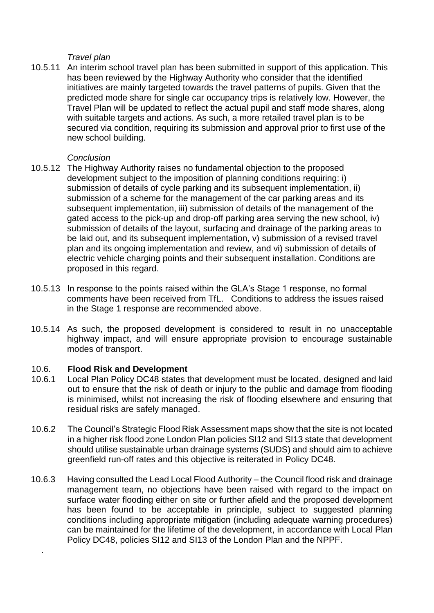## *Travel plan*

10.5.11 An interim school travel plan has been submitted in support of this application. This has been reviewed by the Highway Authority who consider that the identified initiatives are mainly targeted towards the travel patterns of pupils. Given that the predicted mode share for single car occupancy trips is relatively low. However, the Travel Plan will be updated to reflect the actual pupil and staff mode shares, along with suitable targets and actions. As such, a more retailed travel plan is to be secured via condition, requiring its submission and approval prior to first use of the new school building.

## *Conclusion*

- 10.5.12 The Highway Authority raises no fundamental objection to the proposed development subject to the imposition of planning conditions requiring: i) submission of details of cycle parking and its subsequent implementation, ii) submission of a scheme for the management of the car parking areas and its subsequent implementation, iii) submission of details of the management of the gated access to the pick-up and drop-off parking area serving the new school, iv) submission of details of the layout, surfacing and drainage of the parking areas to be laid out, and its subsequent implementation, v) submission of a revised travel plan and its ongoing implementation and review, and vi) submission of details of electric vehicle charging points and their subsequent installation. Conditions are proposed in this regard.
- 10.5.13 In response to the points raised within the GLA's Stage 1 response, no formal comments have been received from TfL. Conditions to address the issues raised in the Stage 1 response are recommended above.
- 10.5.14 As such, the proposed development is considered to result in no unacceptable highway impact, and will ensure appropriate provision to encourage sustainable modes of transport.

## 10.6. **Flood Risk and Development**

.

- 10.6.1 Local Plan Policy DC48 states that development must be located, designed and laid out to ensure that the risk of death or injury to the public and damage from flooding is minimised, whilst not increasing the risk of flooding elsewhere and ensuring that residual risks are safely managed.
- 10.6.2 The Council's Strategic Flood Risk Assessment maps show that the site is not located in a higher risk flood zone London Plan policies SI12 and SI13 state that development should utilise sustainable urban drainage systems (SUDS) and should aim to achieve greenfield run-off rates and this objective is reiterated in Policy DC48.
- 10.6.3 Having consulted the Lead Local Flood Authority the Council flood risk and drainage management team, no objections have been raised with regard to the impact on surface water flooding either on site or further afield and the proposed development has been found to be acceptable in principle, subject to suggested planning conditions including appropriate mitigation (including adequate warning procedures) can be maintained for the lifetime of the development, in accordance with Local Plan Policy DC48, policies SI12 and SI13 of the London Plan and the NPPF.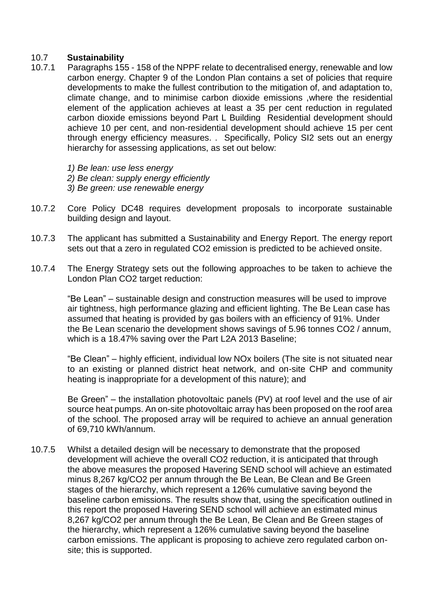# 10.7 **Sustainability**

- 10.7.1 Paragraphs 155 158 of the NPPF relate to decentralised energy, renewable and low carbon energy. Chapter 9 of the London Plan contains a set of policies that require developments to make the fullest contribution to the mitigation of, and adaptation to, climate change, and to minimise carbon dioxide emissions ,where the residential element of the application achieves at least a 35 per cent reduction in regulated carbon dioxide emissions beyond Part L Building Residential development should achieve 10 per cent, and non-residential development should achieve 15 per cent through energy efficiency measures. . Specifically, Policy SI2 sets out an energy hierarchy for assessing applications, as set out below:
	- *1) Be lean: use less energy*
	- *2) Be clean: supply energy efficiently*
	- *3) Be green: use renewable energy*
- 10.7.2 Core Policy DC48 requires development proposals to incorporate sustainable building design and layout.
- 10.7.3 The applicant has submitted a Sustainability and Energy Report. The energy report sets out that a zero in regulated CO2 emission is predicted to be achieved onsite.
- 10.7.4 The Energy Strategy sets out the following approaches to be taken to achieve the London Plan CO2 target reduction:

"Be Lean" – sustainable design and construction measures will be used to improve air tightness, high performance glazing and efficient lighting. The Be Lean case has assumed that heating is provided by gas boilers with an efficiency of 91%. Under the Be Lean scenario the development shows savings of 5.96 tonnes CO2 / annum, which is a 18.47% saving over the Part L2A 2013 Baseline;

"Be Clean" – highly efficient, individual low NOx boilers (The site is not situated near to an existing or planned district heat network, and on-site CHP and community heating is inappropriate for a development of this nature); and

Be Green" – the installation photovoltaic panels (PV) at roof level and the use of air source heat pumps. An on-site photovoltaic array has been proposed on the roof area of the school. The proposed array will be required to achieve an annual generation of 69,710 kWh/annum.

10.7.5 Whilst a detailed design will be necessary to demonstrate that the proposed development will achieve the overall CO2 reduction, it is anticipated that through the above measures the proposed Havering SEND school will achieve an estimated minus 8,267 kg/CO2 per annum through the Be Lean, Be Clean and Be Green stages of the hierarchy, which represent a 126% cumulative saving beyond the baseline carbon emissions. The results show that, using the specification outlined in this report the proposed Havering SEND school will achieve an estimated minus 8,267 kg/CO2 per annum through the Be Lean, Be Clean and Be Green stages of the hierarchy, which represent a 126% cumulative saving beyond the baseline carbon emissions. The applicant is proposing to achieve zero regulated carbon onsite; this is supported.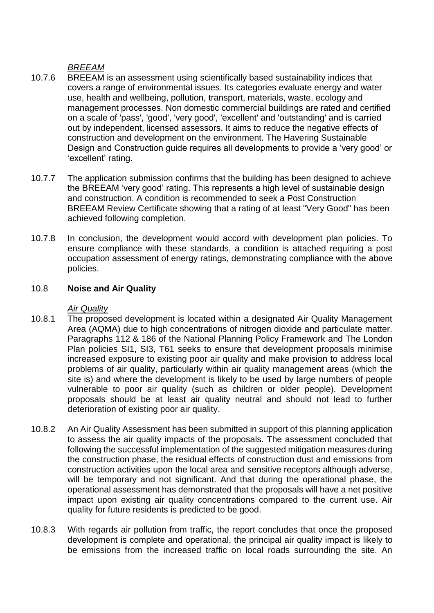# *BREEAM*

- 10.7.6 BREEAM is an assessment using scientifically based sustainability indices that covers a range of environmental issues. Its categories evaluate energy and water use, health and wellbeing, pollution, transport, materials, waste, ecology and management processes. Non domestic commercial buildings are rated and certified on a scale of 'pass', 'good', 'very good', 'excellent' and 'outstanding' and is carried out by independent, licensed assessors. It aims to reduce the negative effects of construction and development on the environment. The Havering Sustainable Design and Construction guide requires all developments to provide a 'very good' or 'excellent' rating.
- 10.7.7 The application submission confirms that the building has been designed to achieve the BREEAM 'very good' rating. This represents a high level of sustainable design and construction. A condition is recommended to seek a Post Construction BREEAM Review Certificate showing that a rating of at least "Very Good" has been achieved following completion.
- 10.7.8 In conclusion, the development would accord with development plan policies. To ensure compliance with these standards, a condition is attached requiring a post occupation assessment of energy ratings, demonstrating compliance with the above policies.

# 10.8 **Noise and Air Quality**

# *Air Quality*

- 10.8.1 The proposed development is located within a designated Air Quality Management Area (AQMA) due to high concentrations of nitrogen dioxide and particulate matter. Paragraphs 112 & 186 of the National Planning Policy Framework and The London Plan policies SI1, SI3, T61 seeks to ensure that development proposals minimise increased exposure to existing poor air quality and make provision to address local problems of air quality, particularly within air quality management areas (which the site is) and where the development is likely to be used by large numbers of people vulnerable to poor air quality (such as children or older people). Development proposals should be at least air quality neutral and should not lead to further deterioration of existing poor air quality.
- 10.8.2 An Air Quality Assessment has been submitted in support of this planning application to assess the air quality impacts of the proposals. The assessment concluded that following the successful implementation of the suggested mitigation measures during the construction phase, the residual effects of construction dust and emissions from construction activities upon the local area and sensitive receptors although adverse, will be temporary and not significant. And that during the operational phase, the operational assessment has demonstrated that the proposals will have a net positive impact upon existing air quality concentrations compared to the current use. Air quality for future residents is predicted to be good.
- 10.8.3 With regards air pollution from traffic, the report concludes that once the proposed development is complete and operational, the principal air quality impact is likely to be emissions from the increased traffic on local roads surrounding the site. An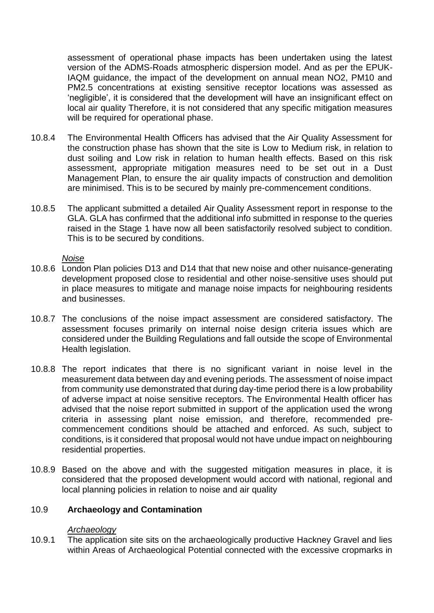assessment of operational phase impacts has been undertaken using the latest version of the ADMS-Roads atmospheric dispersion model. And as per the EPUK-IAQM guidance, the impact of the development on annual mean NO2, PM10 and PM2.5 concentrations at existing sensitive receptor locations was assessed as 'negligible', it is considered that the development will have an insignificant effect on local air quality Therefore, it is not considered that any specific mitigation measures will be required for operational phase.

- 10.8.4 The Environmental Health Officers has advised that the Air Quality Assessment for the construction phase has shown that the site is Low to Medium risk, in relation to dust soiling and Low risk in relation to human health effects. Based on this risk assessment, appropriate mitigation measures need to be set out in a Dust Management Plan, to ensure the air quality impacts of construction and demolition are minimised. This is to be secured by mainly pre-commencement conditions.
- 10.8.5 The applicant submitted a detailed Air Quality Assessment report in response to the GLA. GLA has confirmed that the additional info submitted in response to the queries raised in the Stage 1 have now all been satisfactorily resolved subject to condition. This is to be secured by conditions.

#### *Noise*

- 10.8.6 London Plan policies D13 and D14 that that new noise and other nuisance-generating development proposed close to residential and other noise-sensitive uses should put in place measures to mitigate and manage noise impacts for neighbouring residents and businesses.
- 10.8.7 The conclusions of the noise impact assessment are considered satisfactory. The assessment focuses primarily on internal noise design criteria issues which are considered under the Building Regulations and fall outside the scope of Environmental Health legislation.
- 10.8.8 The report indicates that there is no significant variant in noise level in the measurement data between day and evening periods. The assessment of noise impact from community use demonstrated that during day-time period there is a low probability of adverse impact at noise sensitive receptors. The Environmental Health officer has advised that the noise report submitted in support of the application used the wrong criteria in assessing plant noise emission, and therefore, recommended precommencement conditions should be attached and enforced. As such, subject to conditions, is it considered that proposal would not have undue impact on neighbouring residential properties.
- 10.8.9 Based on the above and with the suggested mitigation measures in place, it is considered that the proposed development would accord with national, regional and local planning policies in relation to noise and air quality

## 10.9 **Archaeology and Contamination**

#### *Archaeology*

10.9.1 The application site sits on the archaeologically productive Hackney Gravel and lies within Areas of Archaeological Potential connected with the excessive cropmarks in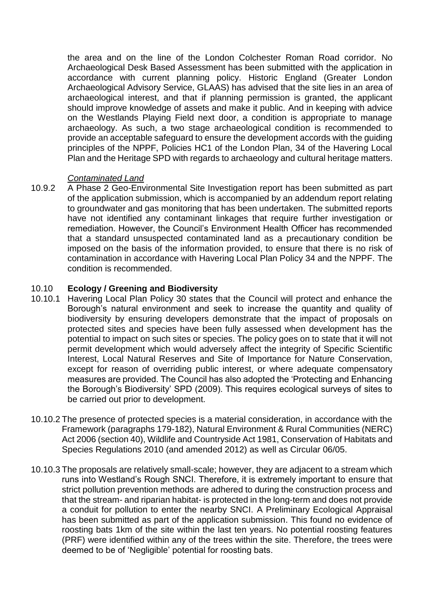the area and on the line of the London Colchester Roman Road corridor. No Archaeological Desk Based Assessment has been submitted with the application in accordance with current planning policy. Historic England (Greater London Archaeological Advisory Service, GLAAS) has advised that the site lies in an area of archaeological interest, and that if planning permission is granted, the applicant should improve knowledge of assets and make it public. And in keeping with advice on the Westlands Playing Field next door, a condition is appropriate to manage archaeology. As such, a two stage archaeological condition is recommended to provide an acceptable safeguard to ensure the development accords with the guiding principles of the NPPF, Policies HC1 of the London Plan, 34 of the Havering Local Plan and the Heritage SPD with regards to archaeology and cultural heritage matters.

# *Contaminated Land*

10.9.2 A Phase 2 Geo-Environmental Site Investigation report has been submitted as part of the application submission, which is accompanied by an addendum report relating to groundwater and gas monitoring that has been undertaken. The submitted reports have not identified any contaminant linkages that require further investigation or remediation. However, the Council's Environment Health Officer has recommended that a standard unsuspected contaminated land as a precautionary condition be imposed on the basis of the information provided, to ensure that there is no risk of contamination in accordance with Havering Local Plan Policy 34 and the NPPF. The condition is recommended.

# 10.10 **Ecology / Greening and Biodiversity**

- 10.10.1 Havering Local Plan Policy 30 states that the Council will protect and enhance the Borough's natural environment and seek to increase the quantity and quality of biodiversity by ensuring developers demonstrate that the impact of proposals on protected sites and species have been fully assessed when development has the potential to impact on such sites or species. The policy goes on to state that it will not permit development which would adversely affect the integrity of Specific Scientific Interest, Local Natural Reserves and Site of Importance for Nature Conservation, except for reason of overriding public interest, or where adequate compensatory measures are provided. The Council has also adopted the 'Protecting and Enhancing the Borough's Biodiversity' SPD (2009). This requires ecological surveys of sites to be carried out prior to development.
- 10.10.2 The presence of protected species is a material consideration, in accordance with the Framework (paragraphs 179-182), Natural Environment & Rural Communities (NERC) Act 2006 (section 40), Wildlife and Countryside Act 1981, Conservation of Habitats and Species Regulations 2010 (and amended 2012) as well as Circular 06/05.
- 10.10.3 The proposals are relatively small-scale; however, they are adjacent to a stream which runs into Westland's Rough SNCI. Therefore, it is extremely important to ensure that strict pollution prevention methods are adhered to during the construction process and that the stream- and riparian habitat- is protected in the long-term and does not provide a conduit for pollution to enter the nearby SNCI. A Preliminary Ecological Appraisal has been submitted as part of the application submission. This found no evidence of roosting bats 1km of the site within the last ten years. No potential roosting features (PRF) were identified within any of the trees within the site. Therefore, the trees were deemed to be of 'Negligible' potential for roosting bats.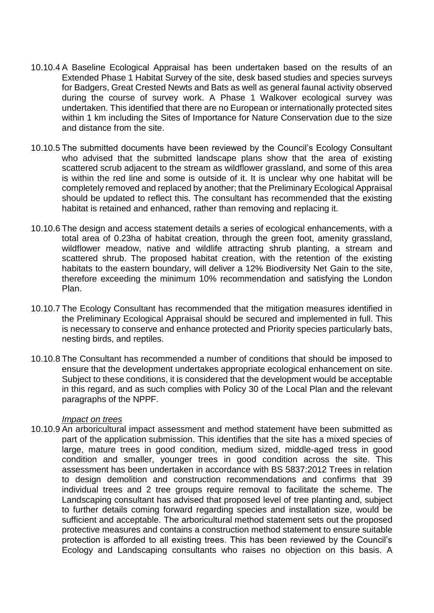- 10.10.4 A Baseline Ecological Appraisal has been undertaken based on the results of an Extended Phase 1 Habitat Survey of the site, desk based studies and species surveys for Badgers, Great Crested Newts and Bats as well as general faunal activity observed during the course of survey work. A Phase 1 Walkover ecological survey was undertaken. This identified that there are no European or internationally protected sites within 1 km including the Sites of Importance for Nature Conservation due to the size and distance from the site.
- 10.10.5 The submitted documents have been reviewed by the Council's Ecology Consultant who advised that the submitted landscape plans show that the area of existing scattered scrub adjacent to the stream as wildflower grassland, and some of this area is within the red line and some is outside of it. It is unclear why one habitat will be completely removed and replaced by another; that the Preliminary Ecological Appraisal should be updated to reflect this. The consultant has recommended that the existing habitat is retained and enhanced, rather than removing and replacing it.
- 10.10.6 The design and access statement details a series of ecological enhancements, with a total area of 0.23ha of habitat creation, through the green foot, amenity grassland, wildflower meadow, native and wildlife attracting shrub planting, a stream and scattered shrub. The proposed habitat creation, with the retention of the existing habitats to the eastern boundary, will deliver a 12% Biodiversity Net Gain to the site, therefore exceeding the minimum 10% recommendation and satisfying the London Plan.
- 10.10.7 The Ecology Consultant has recommended that the mitigation measures identified in the Preliminary Ecological Appraisal should be secured and implemented in full. This is necessary to conserve and enhance protected and Priority species particularly bats, nesting birds, and reptiles.
- 10.10.8 The Consultant has recommended a number of conditions that should be imposed to ensure that the development undertakes appropriate ecological enhancement on site. Subject to these conditions, it is considered that the development would be acceptable in this regard, and as such complies with Policy 30 of the Local Plan and the relevant paragraphs of the NPPF.

#### *Impact on trees*

10.10.9 An arboricultural impact assessment and method statement have been submitted as part of the application submission. This identifies that the site has a mixed species of large, mature trees in good condition, medium sized, middle-aged tress in good condition and smaller, younger trees in good condition across the site. This assessment has been undertaken in accordance with BS 5837:2012 Trees in relation to design demolition and construction recommendations and confirms that 39 individual trees and 2 tree groups require removal to facilitate the scheme. The Landscaping consultant has advised that proposed level of tree planting and, subject to further details coming forward regarding species and installation size, would be sufficient and acceptable. The arboricultural method statement sets out the proposed protective measures and contains a construction method statement to ensure suitable protection is afforded to all existing trees. This has been reviewed by the Council's Ecology and Landscaping consultants who raises no objection on this basis. A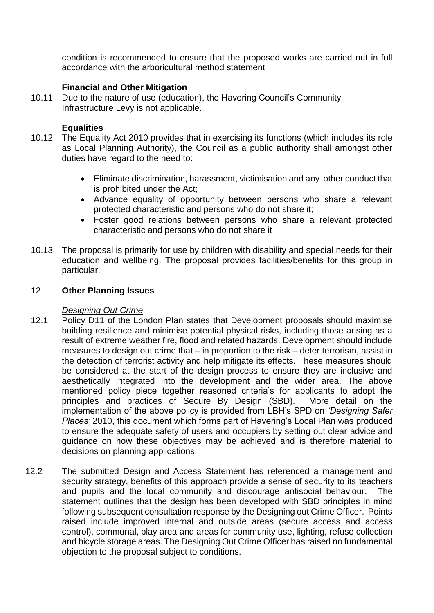condition is recommended to ensure that the proposed works are carried out in full accordance with the arboricultural method statement

# **Financial and Other Mitigation**

10.11 Due to the nature of use (education), the Havering Council's Community Infrastructure Levy is not applicable.

## **Equalities**

- 10.12 The Equality Act 2010 provides that in exercising its functions (which includes its role as Local Planning Authority), the Council as a public authority shall amongst other duties have regard to the need to:
	- Eliminate discrimination, harassment, victimisation and any other conduct that is prohibited under the Act;
	- Advance equality of opportunity between persons who share a relevant protected characteristic and persons who do not share it;
	- Foster good relations between persons who share a relevant protected characteristic and persons who do not share it
- 10.13 The proposal is primarily for use by children with disability and special needs for their education and wellbeing. The proposal provides facilities/benefits for this group in particular.

#### 12 **Other Planning Issues**

## *Designing Out Crime*

- 12.1 Policy D11 of the London Plan states that Development proposals should maximise building resilience and minimise potential physical risks, including those arising as a result of extreme weather fire, flood and related hazards. Development should include measures to design out crime that – in proportion to the risk – deter terrorism, assist in the detection of terrorist activity and help mitigate its effects. These measures should be considered at the start of the design process to ensure they are inclusive and aesthetically integrated into the development and the wider area. The above mentioned policy piece together reasoned criteria's for applicants to adopt the principles and practices of Secure By Design (SBD). More detail on the implementation of the above policy is provided from LBH's SPD on *'Designing Safer Places'* 2010, this document which forms part of Havering's Local Plan was produced to ensure the adequate safety of users and occupiers by setting out clear advice and guidance on how these objectives may be achieved and is therefore material to decisions on planning applications.
- 12.2 The submitted Design and Access Statement has referenced a management and security strategy, benefits of this approach provide a sense of security to its teachers and pupils and the local community and discourage antisocial behaviour. The statement outlines that the design has been developed with SBD principles in mind following subsequent consultation response by the Designing out Crime Officer. Points raised include improved internal and outside areas (secure access and access control), communal, play area and areas for community use, lighting, refuse collection and bicycle storage areas. The Designing Out Crime Officer has raised no fundamental objection to the proposal subject to conditions.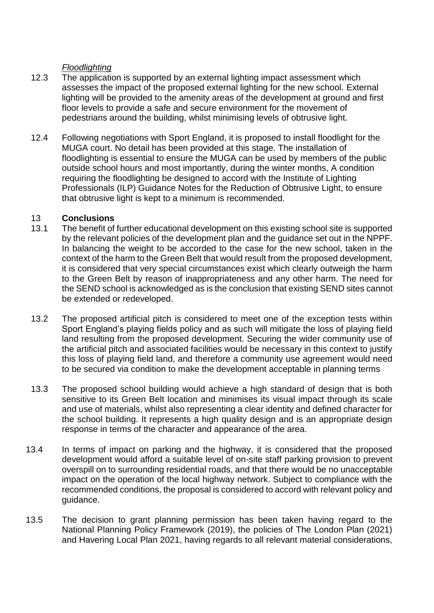# *Floodlighting*

- 12.3 The application is supported by an external lighting impact assessment which assesses the impact of the proposed external lighting for the new school. External lighting will be provided to the amenity areas of the development at ground and first floor levels to provide a safe and secure environment for the movement of pedestrians around the building, whilst minimising levels of obtrusive light.
- 12.4 Following negotiations with Sport England, it is proposed to install floodlight for the MUGA court. No detail has been provided at this stage. The installation of floodlighting is essential to ensure the MUGA can be used by members of the public outside school hours and most importantly, during the winter months, A condition requiring the floodlighting be designed to accord with the Institute of Lighting Professionals (ILP) Guidance Notes for the Reduction of Obtrusive Light, to ensure that obtrusive light is kept to a minimum is recommended.

# 13 **Conclusions**

- 13.1 The benefit of further educational development on this existing school site is supported by the relevant policies of the development plan and the guidance set out in the NPPF. In balancing the weight to be accorded to the case for the new school, taken in the context of the harm to the Green Belt that would result from the proposed development, it is considered that very special circumstances exist which clearly outweigh the harm to the Green Belt by reason of inappropriateness and any other harm. The need for the SEND school is acknowledged as is the conclusion that existing SEND sites cannot be extended or redeveloped.
- 13.2 The proposed artificial pitch is considered to meet one of the exception tests within Sport England's playing fields policy and as such will mitigate the loss of playing field land resulting from the proposed development. Securing the wider community use of the artificial pitch and associated facilities would be necessary in this context to justify this loss of playing field land, and therefore a community use agreement would need to be secured via condition to make the development acceptable in planning terms
- 13.3 The proposed school building would achieve a high standard of design that is both sensitive to its Green Belt location and minimises its visual impact through its scale and use of materials, whilst also representing a clear identity and defined character for the school building. It represents a high quality design and is an appropriate design response in terms of the character and appearance of the area.
- 13.4 In terms of impact on parking and the highway, it is considered that the proposed development would afford a suitable level of on-site staff parking provision to prevent overspill on to surrounding residential roads, and that there would be no unacceptable impact on the operation of the local highway network. Subject to compliance with the recommended conditions, the proposal is considered to accord with relevant policy and guidance.
- 13.5 The decision to grant planning permission has been taken having regard to the National Planning Policy Framework (2019), the policies of The London Plan (2021) and Havering Local Plan 2021, having regards to all relevant material considerations,